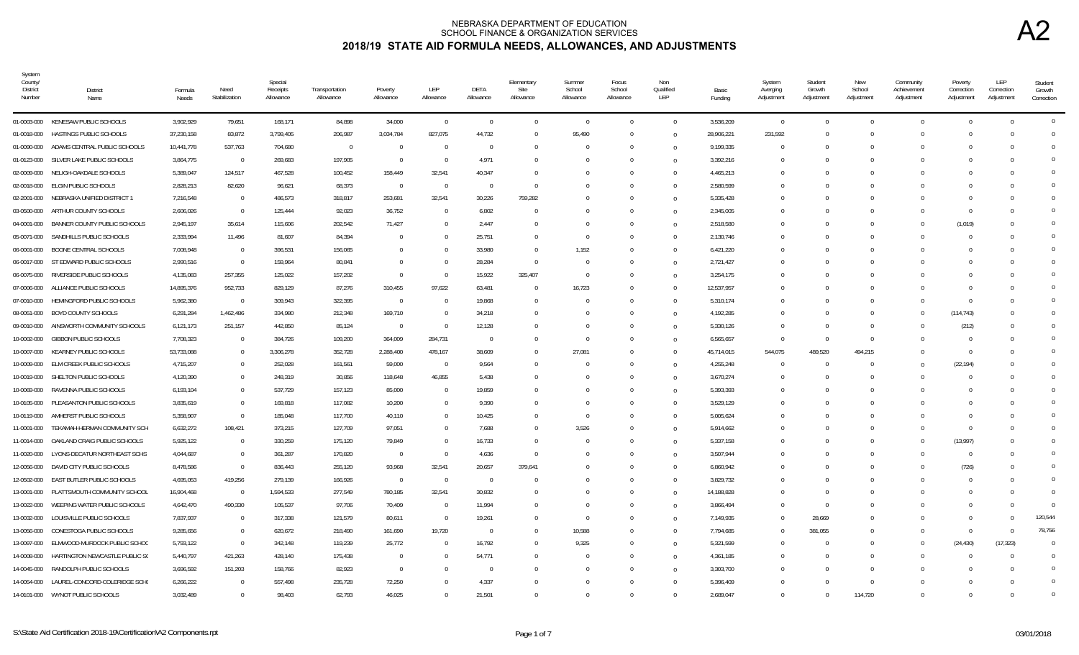| System<br>County/<br><b>District</b><br>Number | District<br>Name                     | Formula<br>Needs | Need<br>Stabilization | Special<br>Receipts<br>Allowance | Transportation<br>Allowance | Poverty<br>Allowance | LEP<br>Allowance | DETA<br>Allowance | Elementary<br>Site<br>Allowance | Summer<br>School<br>Allowance | Focus<br>School<br>Allowance | Non<br>Qualified<br>LEP | Basic<br>Funding | System<br>Averging<br>Adjustment | Student<br>Growth<br>Adjustment | New<br>School<br>Adjustment | Community<br>Achievement<br>Adjustment | Poverty<br>Correction<br>Adjustment | LEP<br>Correction<br>Adjustment | Student<br>Growth<br>Correction |
|------------------------------------------------|--------------------------------------|------------------|-----------------------|----------------------------------|-----------------------------|----------------------|------------------|-------------------|---------------------------------|-------------------------------|------------------------------|-------------------------|------------------|----------------------------------|---------------------------------|-----------------------------|----------------------------------------|-------------------------------------|---------------------------------|---------------------------------|
|                                                | 01-0003-000 KENESAW PUBLIC SCHOOLS   | 3,902,929        | 79,651                | 168,171                          | 84,898                      | 34,000               | $\overline{0}$   | $\overline{0}$    | $\overline{0}$                  | $\Omega$                      | $\Omega$                     | $\mathbf{0}$            | 3,536,209        | $\overline{0}$                   | $\Omega$                        | $\Omega$                    | $\Omega$                               | $\Omega$                            | $\bigcap$                       | $\overline{0}$                  |
| 01-0018-000                                    | HASTINGS PUBLIC SCHOOLS              | 37,230,158       | 83,872                | 3,799,405                        | 206,987                     | 3,034,784            | 827,075          | 44,732            | $\Omega$                        | 95,490                        |                              | $\overline{0}$          | 28,906,221       | 231,592                          |                                 |                             | $\Omega$                               | $\Omega$                            |                                 | $\Omega$                        |
| 01-0090-000                                    | ADAMS CENTRAL PUBLIC SCHOOLS         | 10,441,778       | 537,763               | 704,680                          | $\overline{0}$              | $\overline{0}$       | $\Omega$         | $\Omega$          | $\Omega$                        | $\Omega$                      |                              | $\Omega$                | 9,199,335        | $\Omega$                         | $\Omega$                        |                             | $\Omega$                               | $\Omega$                            |                                 | $\Omega$                        |
| 01-0123-000                                    | SILVER LAKE PUBLIC SCHOOLS           | 3,864,775        | $\overline{0}$        | 269,683                          | 197,905                     | $\overline{0}$       | $\Omega$         | 4,971             |                                 |                               |                              | $\overline{0}$          | 3,392,216        | $\Omega$                         |                                 |                             |                                        | $\Omega$                            |                                 | $\Omega$                        |
| 02-0009-000                                    | NELIGH-OAKDALE SCHOOLS               | 5,389,047        | 124,517               | 467,528                          | 100,452                     | 158,449              | 32,541           | 40,347            |                                 |                               |                              | $\Omega$                | 4,465,213        | $\Omega$                         |                                 |                             | $\Omega$                               | $\bigcap$                           |                                 | $\Omega$                        |
| 02-0018-000                                    | ELGIN PUBLIC SCHOOLS                 | 2,828,213        | 82,620                | 96,621                           | 68,373                      | $\overline{0}$       | $\overline{0}$   | $\Omega$          | $\Omega$                        |                               |                              | $\Omega$                | 2,580,599        | $\Omega$                         |                                 |                             |                                        |                                     |                                 | $\Omega$                        |
| 02-2001-000                                    | NEBRASKA UNIFIED DISTRICT 1          | 7,216,548        | $\mathbf{0}$          | 486,573                          | 318,817                     | 253,681              | 32,541           | 30,226            | 759,282                         |                               |                              | $\Omega$                | 5,335,428        | $\epsilon$                       |                                 |                             |                                        | $\Omega$                            |                                 | $\overline{0}$                  |
| 03-0500-000                                    | ARTHUR COUNTY SCHOOLS                | 2,606,026        | $\mathbf{0}$          | 125,444                          | 92,023                      | 36,752               | $\Omega$         | 6,802             | $\Omega$                        | $\Omega$                      |                              | $\Omega$                | 2,345,005        | $\Omega$                         | $\Omega$                        |                             | $\Omega$                               | $\overline{0}$                      |                                 | $\overline{0}$                  |
| 04-0001-000                                    | BANNER COUNTY PUBLIC SCHOOLS         | 2,945,197        | 35,614                | 115,606                          | 202,542                     | 71,427               | $\Omega$         | 2.447             | $\Omega$                        | $\Omega$                      | $\Omega$                     | $\overline{0}$          | 2,518,580        | $\Omega$                         | $\Omega$                        |                             | $\Omega$                               | (1,019)                             |                                 | $\Omega$                        |
| 05-0071-000                                    | SANDHILLS PUBLIC SCHOOLS             | 2,333,994        | 11,496                | 81,607                           | 84,394                      | $\Omega$             | $\Omega$         | 25,751            | $\Omega$                        | $\Omega$                      |                              | $\overline{0}$          | 2,130,746        | - 0                              |                                 |                             | $\Omega$                               | $\Omega$                            |                                 | $\Omega$                        |
| 06-0001-000                                    | BOONE CENTRAL SCHOOLS                | 7,008,948        | $\overline{0}$        | 396,531                          | 156,065                     | $\Omega$             | $\cup$           | 33,980            | $\Omega$                        | 1,152                         |                              | $\overline{0}$          | 6,421,220        | $\Omega$                         |                                 |                             |                                        | $\bigcap$                           |                                 | $\Omega$                        |
|                                                | 06-0017-000 ST EDWARD PUBLIC SCHOOLS | 2,990,516        | $\overline{0}$        | 159,964                          | 80,841                      | $\overline{0}$       |                  | 28,284            | $\overline{0}$                  | $\Omega$                      |                              | $\Omega$                | 2,721,427        | -0                               |                                 |                             |                                        | $\Omega$                            |                                 | $\Omega$                        |
| 06-0075-000                                    | RIVERSIDE PUBLIC SCHOOLS             | 4,135,083        | 257,355               | 125,022                          | 157,202                     | $\overline{0}$       | $\Omega$         | 15,922            | 325,407                         | $\Omega$                      |                              | $\Omega$                | 3,254,175        | $\Omega$                         |                                 |                             |                                        |                                     |                                 | $\overline{0}$                  |
| 07-0006-000                                    | ALLIANCE PUBLIC SCHOOLS              | 14,895,376       | 952,733               | 829,129                          | 87,276                      | 310,455              | 97,622           | 63,481            | $\Omega$                        | 16,723                        | $\Omega$                     | $\overline{0}$          | 12,537,957       | $\Omega$                         |                                 |                             | $\Omega$                               | $\Omega$                            |                                 | $\Omega$                        |
| 07-0010-000                                    | HEMINGFORD PUBLIC SCHOOLS            | 5,962,380        | $\overline{0}$        | 309,943                          | 322,395                     | $\overline{0}$       |                  | 19,868            | $\Omega$                        |                               |                              | $\overline{0}$          | 5,310,174        | - 0                              |                                 |                             | $\Omega$                               | $\Omega$                            |                                 | $\Omega$                        |
| 08-0051-000                                    | BOYD COUNTY SCHOOLS                  | 6,291,284        | 1,462,486             | 334,980                          | 212,348                     | 169,710              | $\Omega$         | 34,218            | $\Omega$                        |                               |                              | $\Omega$                | 4,192,285        | $\Omega$                         |                                 |                             | $\Omega$                               | (114, 743)                          |                                 | $\Omega$                        |
| 09-0010-000                                    | AINSWORTH COMMUNITY SCHOOLS          | 6,121,173        | 251,157               | 442,850                          | 85,124                      | $\overline{0}$       | $\Omega$         | 12,128            | - 0                             |                               |                              | $\overline{0}$          | 5,330,126        | - 0                              |                                 | $\cap$                      | <sup>0</sup>                           | (212)                               |                                 | $\Omega$                        |
| 10-0002-000                                    | <b>GIBBON PUBLIC SCHOOLS</b>         | 7,708,323        | $\overline{0}$        | 384,726                          | 109,200                     | 364,009              | 284,731          | $\Omega$          | $\Omega$                        | $\mathbf 0$                   |                              | $\Omega$                | 6,565,657        | - 0                              | $\Omega$                        | $\Omega$                    | $\Omega$                               | $\Omega$                            |                                 | $\overline{0}$                  |
| 10-0007-000                                    | KEARNEY PUBLIC SCHOOLS               | 53,733,088       | $\mathbf 0$           | 3,306,278                        | 352,728                     | 2,288,400            | 478,167          | 38,609            | $\Omega$                        | 27,081                        |                              | $\Omega$                | 45,714,015       | 544,075                          | 489,520                         | 494,215                     | $\Omega$                               | $\overline{0}$                      |                                 | $\Omega$                        |
|                                                | 10-0009-000 ELM CREEK PUBLIC SCHOOLS | 4,715,207        | $\Omega$              | 252,028                          | 161,561                     | 59,000               | $\overline{0}$   | 9,564             | $\Omega$                        | $\Omega$                      |                              | $\Omega$                | 4,255,248        | $\Omega$                         |                                 |                             | $\Omega$                               | (22, 194)                           |                                 | $\Omega$                        |
| 10-0019-000                                    | SHELTON PUBLIC SCHOOLS               | 4,120,390        | $\bf 0$               | 248,319                          | 30,856                      | 118,648              | 46,855           | 5,438             | $\Omega$                        |                               |                              | $\overline{0}$          | 3,670,274        | $\Omega$                         |                                 |                             | $\Omega$                               | $\Omega$                            |                                 | $\Omega$                        |
| 10-0069-000                                    | RAVENNA PUBLIC SCHOOLS               | 6,193,104        | $\mathbf{0}$          | 537,729                          | 157,123                     | 85,000               | $\Omega$         | 19,859            |                                 |                               |                              | $\Omega$                | 5,393,393        | -0                               |                                 |                             |                                        | $\bigcap$                           |                                 | $\Omega$                        |
| 10-0105-000                                    | PLEASANTON PUBLIC SCHOOLS            | 3,835,619        | $\mathbf 0$           | 169,818                          | 117,082                     | 10,200               | $\Omega$         | 9,390             |                                 |                               |                              | $\Omega$                | 3,529,129        | $\Omega$                         |                                 |                             |                                        | $\Omega$                            |                                 | $\Omega$                        |
| 10-0119-000                                    | AMHERST PUBLIC SCHOOLS               | 5,358,907        | $\mathbf 0$           | 185,048                          | 117,700                     | 40,110               | $\Omega$         | 10,425            | -0                              | $\Omega$                      |                              | $\Omega$                | 5,005,624        | -0                               | $\Omega$                        |                             | $\Omega$                               | $\Omega$                            |                                 | $\Omega$                        |
| 11-0001-000                                    | TEKAMAH-HERMAN COMMUNITY SCH         | 6,632,272        | 108,421               | 373,215                          | 127,709                     | 97,051               |                  | 7,688             |                                 | 3,526                         |                              | $\Omega$                | 5,914,662        |                                  |                                 |                             |                                        | $\overline{0}$                      |                                 | $\Omega$                        |
| 11-0014-000                                    | OAKLAND CRAIG PUBLIC SCHOOLS         | 5,925,122        | $\Omega$              | 330,259                          | 175,120                     | 79,849               | $\Omega$         | 16,733            | $\Omega$                        |                               |                              | $\Omega$                | 5,337,158        | $\Omega$                         |                                 |                             | $\Omega$                               | (13,997)                            |                                 | $\Omega$                        |
| 11-0020-000                                    | LYONS-DECATUR NORTHEAST SCHS         | 4,044,687        | $\mathbf{0}$          | 361,287                          | 170,820                     | $\overline{0}$       | $\Omega$         | 4,636             | $\Omega$                        |                               |                              | $\overline{0}$          | 3,507,944        | -0                               | <sup>n</sup>                    |                             | $\Omega$                               | $\overline{0}$                      |                                 | $\Omega$                        |
| 12-0056-000                                    | DAVID CITY PUBLIC SCHOOLS            | 8,478,586        | $\mathbf{0}$          | 836,443                          | 255,120                     | 93,968               | 32,541           | 20,657            | 379,641                         |                               |                              | $\Omega$                | 6,860,942        | - 0                              |                                 |                             | $\Omega$                               | (726)                               |                                 | $\Omega$                        |
| 12-0502-000                                    | EAST BUTLER PUBLIC SCHOOLS           | 4,695,053        | 419,256               | 279,139                          | 166,926                     | $\overline{0}$       | $\overline{0}$   | $\overline{0}$    | $\Omega$                        |                               |                              | $\overline{0}$          | 3,829,732        | $\Omega$                         |                                 |                             | $\Omega$                               | $\Omega$                            |                                 | $\Omega$                        |
| 13-0001-000                                    | PLATTSMOUTH COMMUNITY SCHOOL         | 16,904,468       | $\Omega$              | 1,594,533                        | 277,549                     | 780,185              | 32,541           | 30,832            |                                 |                               |                              | $\Omega$                | 14,188,828       | $\Omega$                         |                                 |                             |                                        |                                     |                                 | $\Omega$                        |
| 13-0022-000                                    | WEEPING WATER PUBLIC SCHOOLS         | 4,642,470        | 490,330               | 105,537                          | 97,706                      | 70,409               | $\Omega$         | 11,994            | $\Omega$                        |                               |                              | $\Omega$                | 3,866,494        | $\Omega$                         |                                 |                             |                                        | $\Omega$                            |                                 | $\Omega$                        |
| 13-0032-000                                    | LOUISVILLE PUBLIC SCHOOLS            | 7,837,937        | $\mathbf{0}$          | 317,338                          | 121,579                     | 80,611               | $\overline{0}$   | 19,261            | $\Omega$                        | $\Omega$                      |                              | $\Omega$                | 7,149,935        | $\Omega$                         | 28,669                          |                             |                                        | $\Omega$                            |                                 | 120,544                         |
| 13-0056-000                                    | CONESTOGA PUBLIC SCHOOLS             | 9,285,656        | $\Omega$              | 620,672                          | 218,490                     | 161,690              | 19,720           | $\Omega$          | $\Omega$                        | 10,588                        | $\Omega$                     | $\overline{0}$          | 7,794,685        | -0                               | 381,055                         |                             | $\Omega$                               | $\overline{0}$                      | $\Omega$                        | 78,756                          |
| 13-0097-000                                    | ELMWOOD-MURDOCK PUBLIC SCHOC         | 5,793,122        | $\mathbf{0}$          | 342,148                          | 119,239                     | 25,772               | $\Omega$         | 16,792            | - 0                             | 9,325                         |                              | $\overline{0}$          | 5,321,599        | $\Omega$                         |                                 |                             | $\Omega$                               | (24, 430)                           | (17, 323)                       | $\Omega$                        |
| 14-0008-000                                    | HARTINGTON NEWCASTLE PUBLIC S(       | 5,440,797        | 421,263               | 428,140                          | 175,438                     | $\overline{0}$       | $\Omega$         | 54,771            | $\Omega$                        |                               |                              | $\Omega$                | 4,361,185        | $\Omega$                         |                                 |                             | $\Omega$                               | $\Omega$                            |                                 | $\overline{0}$                  |
| 14-0045-000                                    | RANDOLPH PUBLIC SCHOOLS              | 3,696,592        | 151,203               | 158,766                          | 82,923                      | $\overline{0}$       |                  | $\Omega$          |                                 |                               |                              | $\Omega$                | 3,303,700        | C                                |                                 |                             |                                        | $\cap$                              |                                 | $\Omega$                        |
| 14-0054-000                                    | LAUREL-CONCORD-COLERIDGE SCHO        | 6,266,222        | $\mathbf 0$           | 557,498                          | 235,728                     | 72,250               |                  | 4,337             |                                 |                               |                              | $\Omega$                | 5,396,409        | $\Omega$                         |                                 |                             |                                        |                                     |                                 | $\overline{0}$                  |
|                                                | 14-0101-000 WYNOT PUBLIC SCHOOLS     | 3,032,489        | $\Omega$              | 98,403                           | 62.793                      | 46.025               | $\cup$           | 21.501            |                                 |                               |                              | $\Omega$                | 2.689.047        | $\Omega$                         | $\Omega$                        | 114,720                     | $\Omega$                               | $\Omega$                            |                                 | $\overline{0}$                  |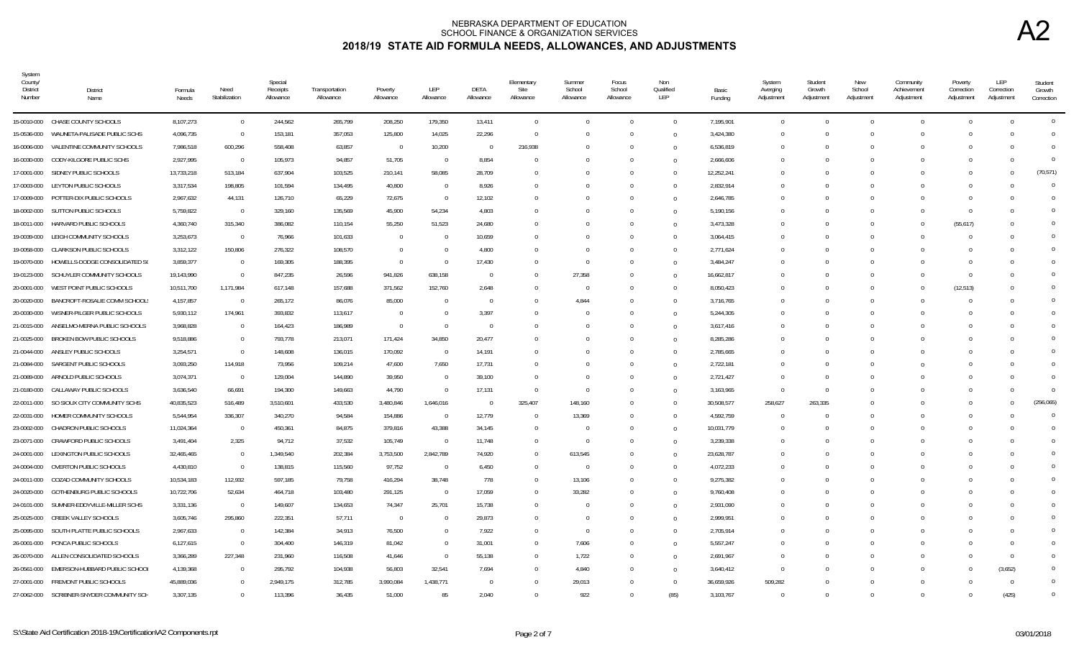| System<br>County/<br>District<br>Number | District<br>Name                          | Formula<br>Needs | Need<br>Stabilization | Special<br>Receipts<br>Allowance | Transportation<br>Allowance | Poverty<br>Allowance | LEP<br>Allowance         | DETA<br>Allowance | Elementary<br>Site<br>Allowance | Summer<br>School<br>Allowance | Focus<br>School<br>Allowance | Non<br>Qualified<br>LEP | Basic<br>Funding | System<br>Averging<br>Adjustment | Student<br>Growth<br>Adjustment | New<br>School<br>Adjustment | Community<br>Achievement<br>Adjustment | Poverty<br>Correction<br>Adjustment | LEP<br>Correction<br>Adjustment | Student<br>Growth<br>Correction |
|-----------------------------------------|-------------------------------------------|------------------|-----------------------|----------------------------------|-----------------------------|----------------------|--------------------------|-------------------|---------------------------------|-------------------------------|------------------------------|-------------------------|------------------|----------------------------------|---------------------------------|-----------------------------|----------------------------------------|-------------------------------------|---------------------------------|---------------------------------|
|                                         | 15-0010-000 CHASE COUNTY SCHOOLS          | 8,107,273        | $\overline{0}$        | 244,562                          | 265,799                     | 208,250              | 179,350                  | 13,411            | $\Omega$                        | $\overline{0}$                | $\Omega$                     | $\Omega$                | 7,195,901        | $\Omega$                         | $\overline{0}$                  | $\Omega$                    | $\overline{0}$                         | $\Omega$                            | $\Omega$                        | $\overline{0}$                  |
| 15-0536-000                             | WAUNETA-PALISADE PUBLIC SCHS              | 4,096,735        | $\overline{0}$        | 153,181                          | 357,053                     | 125,800              | 14,025                   | 22,296            | $\Omega$                        | $\Omega$                      |                              | $\Omega$                | 3,424,380        | $\overline{0}$                   | $\Omega$                        |                             | $\Omega$                               | $\Omega$                            | $\Omega$                        | $\overline{0}$                  |
| 16-0006-000                             | VALENTINE COMMUNITY SCHOOLS               | 7,986,518        | 600,296               | 558,408                          | 63,857                      | $\overline{0}$       | 10,200                   | $\Omega$          | 216,938                         | $\Omega$                      |                              | $\Omega$                | 6,536,819        | $\Omega$                         | $\Omega$                        |                             | $\Omega$                               | $\Omega$                            | $\Omega$                        | $\overline{0}$                  |
| 16-0030-000                             | CODY-KILGORE PUBLIC SCHS                  | 2,927,995        | $\overline{0}$        | 105,973                          | 94,857                      | 51,705               | $\overline{0}$           | 8,854             | $\Omega$                        | $\Omega$                      |                              | $\Omega$                | 2,666,606        | $\Omega$                         | $\Omega$                        |                             | $\Omega$                               | - 0                                 | $\Omega$                        | $\overline{0}$                  |
| 17-0001-000                             | SIDNEY PUBLIC SCHOOLS                     | 13,733,218       | 513,184               | 637,904                          | 103,525                     | 210,141              | 58,085                   | 28,709            |                                 | $\Omega$                      |                              | $\Omega$                | 12,252,241       | $\Omega$                         | $\cap$                          |                             | $\cap$                                 | $\Omega$                            | $\Omega$                        | (70, 571)                       |
| 17-0003-000                             | LEYTON PUBLIC SCHOOLS                     | 3,317,534        | 198,805               | 101,594                          | 134,495                     | 40,800               | $\overline{0}$           | 8,926             |                                 | $\Omega$                      |                              |                         | 2,832,914        | 0                                | $\Omega$                        |                             |                                        | $\Omega$                            | $\Omega$                        | $\overline{0}$                  |
| 17-0009-000                             | POTTER-DIX PUBLIC SCHOOLS                 | 2,967,632        | 44,131                | 126,710                          | 65,229                      | 72,675               | $\overline{0}$           | 12,102            |                                 | $\Omega$                      |                              | $\Omega$                | 2,646,785        | $\Omega$                         |                                 |                             |                                        | $\Omega$                            | $\Omega$                        | $\overline{0}$                  |
| 18-0002-000                             | SUTTON PUBLIC SCHOOLS                     | 5,759,822        | $\Omega$              | 329,160                          | 135,569                     | 45,900               | 54,234                   | 4,803             |                                 | $\Omega$                      |                              | $\Omega$                | 5,190,156        | $\Omega$                         | $\Omega$                        |                             | $\Omega$                               | $\Omega$                            | $\Omega$                        | $\overline{0}$                  |
| 18-0011-000                             | HARVARD PUBLIC SCHOOLS                    | 4,360,740        | 315,340               | 386,082                          | 110,154                     | 55,250               | 51,523                   | 24.680            |                                 | $\Omega$                      |                              | $\Omega$                | 3,473,328        | $\Omega$                         | $\Omega$                        |                             | $\Omega$                               | (55,617)                            | $\Omega$                        | $\Omega$                        |
|                                         | 19-0039-000 LEIGH COMMUNITY SCHOOLS       | 3,253,673        | $\overline{0}$        | 76,966                           | 101,633                     | $\Omega$             | $\overline{0}$           | 10,659            | $\cap$                          | $\Omega$                      |                              | $\Omega$                | 3,064,415        | $\Omega$                         | $\Omega$                        |                             | $\Omega$                               | $\Omega$                            | $\Omega$                        | $\Omega$                        |
| 19-0058-000                             | CLARKSON PUBLIC SCHOOLS                   | 3,312,122        | 150,806               | 276,322                          | 108,570                     | $\overline{0}$       | $\overline{0}$           | 4,800             |                                 | $\Omega$                      |                              | $\Omega$                | 2,771,624        | $\Omega$                         | $\Omega$                        |                             | $\Box$                                 | - 0                                 | $\Omega$                        | $\overline{0}$                  |
| 19-0070-000                             | HOWELLS-DODGE CONSOLIDATED SO             | 3,859,377        | $\overline{0}$        | 169,305                          | 188,395                     | $\overline{0}$       | $\overline{0}$           | 17,430            | $\Omega$                        | $\overline{0}$                |                              | $\Omega$                | 3,484,247        | $\Omega$                         | $\Omega$                        |                             | $\Omega$                               | $\Omega$                            | $\Omega$                        | $\Omega$                        |
| 19-0123-000                             | SCHUYLER COMMUNITY SCHOOLS                | 19,143,990       | $\Omega$              | 847,235                          | 26,596                      | 941,826              | 638,158                  | $\Omega$          |                                 | 27,358                        |                              | $\Omega$                | 16,662,817       | $\Omega$                         |                                 |                             |                                        | $\Omega$                            | $\Omega$                        | $\overline{0}$                  |
| 20-0001-000                             | WEST POINT PUBLIC SCHOOLS                 | 10,511,700       | 1,171,984             | 617,148                          | 157,688                     | 371,562              | 152,760                  | 2,648             |                                 | $\Omega$                      |                              | $\Omega$                | 8,050,423        | $\Omega$                         | $\Omega$                        |                             | $\Omega$                               | (12, 513)                           | $\Omega$                        | $\Omega$                        |
| 20-0020-000                             | BANCROFT-ROSALIE COMM SCHOOL              | 4,157,857        | $\overline{0}$        | 265,172                          | 86,076                      | 85,000               | $\overline{0}$           | $\Omega$          |                                 | 4,844                         |                              | $\Omega$                | 3,716,765        | $\Omega$                         | <sup>n</sup>                    |                             | $\cap$                                 | - 0                                 | $\Omega$                        | $\Omega$                        |
| 20-0030-000                             | WISNER-PILGER PUBLIC SCHOOLS              | 5,930,112        | 174,961               | 393,832                          | 113,617                     | $\Omega$             | $\overline{0}$           | 3,397             |                                 | $\Omega$                      |                              | $\Omega$                | 5,244,305        | $\Omega$                         | $\Omega$                        |                             | $\Box$                                 | $\Omega$                            | $\Omega$                        | $\overline{0}$                  |
| 21-0015-000                             | ANSELMO-MERNA PUBLIC SCHOOLS              | 3,968,828        | $\Omega$              | 164,423                          | 186,989                     | $\overline{0}$       | $\overline{0}$           | $\Omega$          |                                 | $\Omega$                      |                              | $\Omega$                | 3,617,416        | $\Omega$                         | $\Omega$                        |                             | $\Omega$                               | - 0                                 | $\Omega$                        | $\Omega$                        |
| 21-0025-000                             | BROKEN BOW PUBLIC SCHOOLS                 | 9,518,886        | $\overline{0}$        | 793,778                          | 213,071                     | 171,424              | 34,850                   | 20,477            |                                 | $\Omega$                      |                              | $\Omega$                | 8,285,286        | $\Omega$                         | $\Omega$                        |                             |                                        | - 0                                 | $\Omega$                        | $\overline{0}$                  |
| 21-0044-000                             | ANSLEY PUBLIC SCHOOLS                     | 3,254,571        | $\overline{0}$        | 148,608                          | 136,015                     | 170,092              | $\overline{0}$           | 14,191            |                                 | $\overline{0}$                |                              |                         | 2,785,665        | $\Omega$                         | $\Omega$                        |                             | $\Omega$                               | $\Omega$                            | $\overline{0}$                  | $\Omega$                        |
| 21-0084-000                             | SARGENT PUBLIC SCHOOLS                    | 3,093,250        | 114,918               | 73,956                           | 109,214                     | 47,600               | 7,650                    | 17,731            |                                 | $\Omega$                      |                              | $\Omega$                | 2,722,181        | $\Omega$                         |                                 |                             |                                        | -0                                  | - 0                             | $\Omega$                        |
| 21-0089-000                             | ARNOLD PUBLIC SCHOOLS                     | 3,074,371        | $\Omega$              | 129,004                          | 144,890                     | 39,950               | $\overline{0}$           | 39,100            | $\Omega$                        | $\Omega$                      |                              | $\Omega$                | 2,721,427        | $\Omega$                         | $\Omega$                        |                             | $\Omega$                               | - 0                                 | $\Omega$                        | $\overline{0}$                  |
| 21-0180-000                             | CALLAWAY PUBLIC SCHOOLS                   | 3,636,540        | 66,691                | 194,300                          | 149,663                     | 44,790               | $\overline{0}$           | 17,131            | $\Omega$                        | $\Omega$                      |                              | $\Omega$                | 3,163,965        | $\Omega$                         | $\Omega$                        |                             | $\cap$                                 | - 0                                 | $\Omega$                        | $\overline{0}$                  |
| 22-0011-000                             | SO SIOUX CITY COMMUNITY SCHS              | 40,835,523       | 516,489               | 3,510,601                        | 433,530                     | 3,480,846            | 1,646,016                | $\Omega$          | 325,407                         | 148,160                       |                              | $\Omega$                | 30,508,577       | 258,627                          | 263,335                         |                             |                                        | $\Omega$                            | $\Omega$                        | (256, 065)                      |
| 22-0031-000                             | HOMER COMMUNITY SCHOOLS                   | 5,544,954        | 336,307               | 340,270                          | 94,584                      | 154,886              | $\overline{0}$           | 12,779            | $\Omega$                        | 13,369                        |                              | $\Omega$                | 4,592,759        | $\overline{0}$                   | $\Omega$                        |                             | $\cap$                                 | - 0                                 | - 0                             | $\overline{0}$                  |
| 23-0002-000                             | CHADRON PUBLIC SCHOOLS                    | 11,024,364       | $\overline{0}$        | 450,361                          | 84,875                      | 379,816              | 43,388                   | 34,145            | $\Omega$                        | $\overline{0}$                |                              |                         | 10,031,779       | $\overline{0}$                   | $\Omega$                        |                             |                                        | $\Omega$                            | - 0                             | $\overline{0}$                  |
| 23-0071-000                             | CRAWFORD PUBLIC SCHOOLS                   | 3,491,404        | 2,325                 | 94,712                           | 37,532                      | 105,749              | $\overline{0}$           | 11,748            | $\Omega$                        | $\overline{0}$                |                              | $\Omega$                | 3,239,338        | $\Omega$                         | $\Omega$                        |                             |                                        | $\Omega$                            | $\Omega$                        | $\overline{0}$                  |
| 24-0001-000                             | LEXINGTON PUBLIC SCHOOLS                  | 32,465,465       | $\overline{0}$        | 1,349,540                        | 202,384                     | 3,753,500            | 2,842,789                | 74.920            |                                 | 613,545                       |                              | $\Omega$                | 23,628,787       | $\Omega$                         | $\Omega$                        |                             |                                        | $\Omega$                            | $\Omega$                        | $\Omega$                        |
| 24-0004-000                             | OVERTON PUBLIC SCHOOLS                    | 4,430,810        | $\overline{0}$        | 138,815                          | 115,560                     | 97,752               | $\overline{0}$           | 6,450             | $\cap$                          | $\overline{0}$                |                              | $\Omega$                | 4,072,233        | $\Omega$                         | $\Omega$                        |                             |                                        | - ( )                               | $\Omega$                        | $\Omega$                        |
|                                         | 24-0011-000 COZAD COMMUNITY SCHOOLS       | 10,534,183       | 112,932               | 597,185                          | 79,758                      | 416,294              | 38,748                   | 778               | $\Omega$                        | 13,106                        |                              | $\Omega$                | 9,275,382        | $\Omega$                         | $\Omega$                        |                             | $\Omega$                               | - 0                                 | - 0                             | $\Omega$                        |
| 24-0020-000                             | GOTHENBURG PUBLIC SCHOOLS                 | 10,722,706       | 52,634                | 464,718                          | 103,480                     | 291,125              | $\overline{0}$           | 17,059            | $\cap$                          | 33,282                        |                              | $\Omega$                | 9,760,408        | $\Omega$                         | $\Omega$                        |                             |                                        |                                     | - 0                             | $\overline{0}$                  |
| 24-0101-000                             | SUMNER-EDDYVILLE-MILLER SCHS              | 3,331,136        | $\overline{0}$        | 149,607                          | 134,653                     | 74,347               | 25,701                   | 15,738            |                                 | - 0                           |                              |                         | 2,931,090        | $\Omega$                         | $\Omega$                        |                             |                                        | C                                   | - 0                             | $\overline{0}$                  |
| 25-0025-000                             | CREEK VALLEY SCHOOLS                      | 3,605,746        | 295,860               | 222,351                          | 57,711                      | $\overline{0}$       | $\overline{0}$           | 29,873            |                                 | $\Omega$                      |                              |                         | 2,999,951        | $\Omega$                         |                                 |                             |                                        | $\Omega$                            | $\Omega$                        | $\Omega$                        |
| 25-0095-000                             | SOUTH PLATTE PUBLIC SCHOOLS               | 2,967,633        | $\overline{0}$        | 142,384                          | 34,913                      | 76,500               | $\overline{\phantom{0}}$ | 7,922             |                                 | $\overline{0}$                |                              | $\Omega$                | 2,705,914        | $\Omega$                         |                                 |                             |                                        | -0                                  | $\Omega$                        | $\overline{0}$                  |
|                                         | 26-0001-000 PONCA PUBLIC SCHOOLS          | 6,127,615        | $\overline{0}$        | 304,400                          | 146,319                     | 81,042               | $\overline{0}$           | 31,001            |                                 | 7,606                         |                              | $\Omega$                | 5,557,247        | $\Omega$                         | $\Omega$                        |                             | $\Omega$                               | $\Omega$                            | $\Omega$                        | $\Omega$                        |
| 26-0070-000                             | ALLEN CONSOLIDATED SCHOOLS                | 3,366,289        | 227,348               | 231,960                          | 116,508                     | 41,646               | $\overline{0}$           | 55,138            | $\Omega$                        | 1,722                         |                              | $\Omega$                | 2,691,967        | $\Omega$                         | $\Omega$                        |                             | $\Box$                                 | $\Omega$                            | $\overline{0}$                  | $\overline{0}$                  |
| 26-0561-000                             | EMERSON-HUBBARD PUBLIC SCHOOL             | 4,139,368        | $\overline{0}$        | 295,792                          | 104,938                     | 56,803               | 32,541                   | 7,694             | $\Omega$                        | 4,840                         |                              | $\Omega$                | 3,640,412        | $\Omega$                         | $\Omega$                        |                             | $\Omega$                               | $\Omega$                            | (3,652)                         | $\overline{0}$                  |
| 27-0001-000                             | FREMONT PUBLIC SCHOOLS                    | 45,889,036       | $\Omega$              | 2,949,175                        | 312,785                     | 3,990,084            | 1,438,771                | $\overline{0}$    |                                 | 29,013                        |                              |                         | 36,659,926       | 509,282                          |                                 |                             |                                        |                                     | $\overline{0}$                  | $\overline{0}$                  |
|                                         | 27-0062-000 SCRIBNER-SNYDER COMMUNITY SCH | 3,307,135        | $\Omega$              | 113,396                          | 36,435                      | 51,000               | 85                       | 2,040             |                                 | 922                           |                              | (85)                    | 3,103,767        | $\Omega$                         | $\Omega$                        |                             |                                        | $\Omega$                            | (425)                           | $\Omega$                        |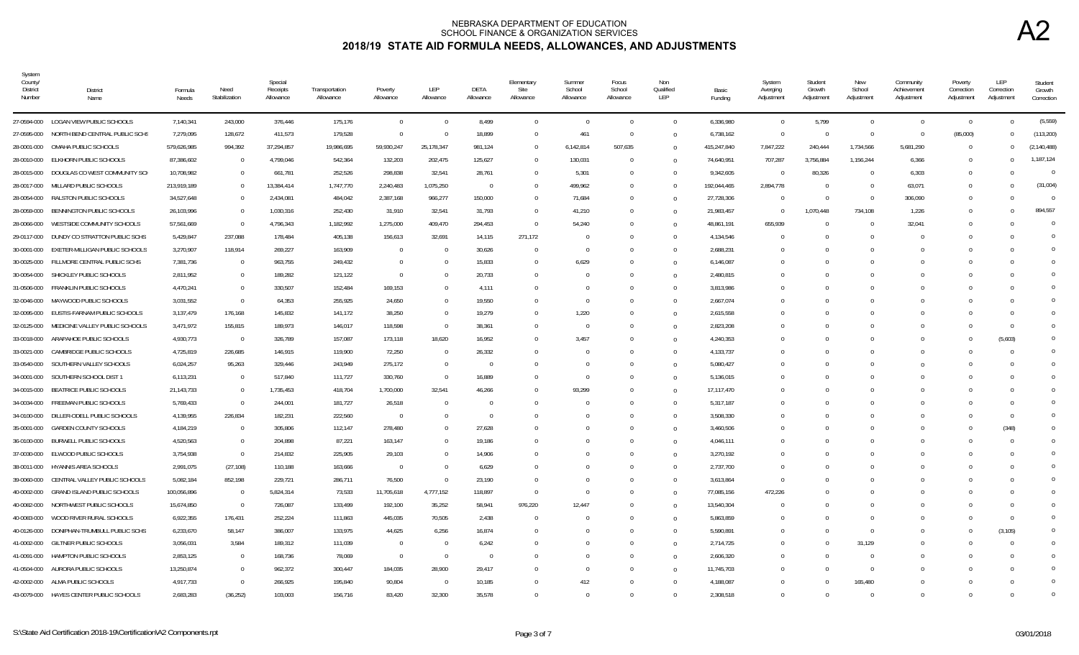| System<br>County/<br>District<br>Number | <b>District</b><br>Name                    | Formula<br>Needs | Need<br>Stabilization | Special<br>Receipts<br>Allowance | Transportation<br>Allowance | Poverty<br>Allowance | LEP<br>Allowance | DETA<br>Allowance | Elementary<br>Site<br>Allowance | Summer<br>School<br>Allowance | Focus<br>School<br>Allowance | Non<br>Qualified<br>LEP | Basic<br>Funding | System<br>Averging<br>Adjustment | Student<br>Growth<br>Adjustment | New<br>School<br>Adjustment | Community<br>Achievement<br>Adjustment | Poverty<br>Correction<br>Adjustment | LEP<br>Correction<br>Adjustment | Student<br>Growth<br>Correction |
|-----------------------------------------|--------------------------------------------|------------------|-----------------------|----------------------------------|-----------------------------|----------------------|------------------|-------------------|---------------------------------|-------------------------------|------------------------------|-------------------------|------------------|----------------------------------|---------------------------------|-----------------------------|----------------------------------------|-------------------------------------|---------------------------------|---------------------------------|
| 27-0594-000                             | LOGAN VIEW PUBLIC SCHOOLS                  | 7,140,341        | 243,000               | 376,446                          | 175,176                     | $\Omega$             | $\overline{0}$   | 8,499             | $\overline{0}$                  | $\Omega$                      | $\overline{0}$               | $\Omega$                | 6,336,980        | $\overline{0}$                   | 5,799                           | $\Omega$                    | $\overline{0}$                         | $\overline{0}$                      | $\Omega$                        | (5, 559)                        |
|                                         | 27-0595-000 NORTH BEND CENTRAL PUBLIC SCHS | 7,279,095        | 128,672               | 411,573                          | 179,528                     | $\Omega$             |                  | 18,899            | $\Omega$                        | 461                           | $\Omega$                     | $\Omega$                | 6,738,162        | $\Omega$                         | $\Omega$                        | $\Omega$                    | $\Omega$                               | (85,000)                            | $\Omega$                        | (113, 200)                      |
|                                         | 28-0001-000 OMAHA PUBLIC SCHOOLS           | 579,626,985      | 994,392               | 37,294,857                       | 19,986,695                  | 59,930,247           | 25,178,347       | 981,124           | $\Omega$                        | 6,142,814                     | 507,635                      | $\bigcap$               | 415,247,840      | 7,847,222                        | 240,444                         | 1,734,566                   | 5,681,290                              | $\Omega$                            |                                 | (2, 140, 488)                   |
| 28-0010-000                             | ELKHORN PUBLIC SCHOOLS                     | 87,386,602       | $\overline{0}$        | 4,799,046                        | 542,364                     | 132,203              | 202,475          | 125,627           | $\Omega$                        | 130,031                       | $\Omega$                     | $\Omega$                | 74,640,951       | 707,287                          | 3,756,884                       | 1,156,244                   | 6,366                                  | $\Omega$                            | $\cap$                          | 1,187,124                       |
| 28-0015-000                             | DOUGLAS CO WEST COMMUNITY SCH              | 10,708,982       | $\overline{0}$        | 661,781                          | 252,526                     | 298,838              | 32,541           | 28,761            | $\Omega$                        | 5,301                         | $\Omega$                     | $\Omega$                | 9,342,605        | $\Omega$                         | 80,326                          | $\Omega$                    | 6,303                                  | $\Omega$                            |                                 | $\overline{0}$                  |
| 28-0017-000                             | MILLARD PUBLIC SCHOOLS                     | 213,919,189      | $\Omega$              | 13,384,414                       | 1,747,770                   | 2,240,483            | 1,075,250        | $\Omega$          | $\Omega$                        | 499,962                       | $\Omega$                     | $\Omega$                | 192,044,465      | 2,894,778                        |                                 | $\Omega$                    | 63,071                                 |                                     |                                 | (31,004)                        |
| 28-0054-000                             | RALSTON PUBLIC SCHOOLS                     | 34,527,648       | $\overline{0}$        | 2,434,081                        | 484,042                     | 2,387,168            | 966,277          | 150,000           | $\Omega$                        | 71,684                        | $\Omega$                     | $\bigcap$               | 27,728,306       | $\overline{0}$                   | $\Omega$                        | $\Omega$                    | 306,090                                | $\Omega$                            | $\bigcap$                       | $\overline{0}$                  |
|                                         | 28-0059-000 BENNINGTON PUBLIC SCHOOLS      | 26,103,996       | $\overline{0}$        | 1,030,316                        | 252,430                     | 31,910               | 32,541           | 31,793            | $\Omega$                        | 41,210                        | $\Omega$                     | $\Omega$                | 21,983,457       | $\Omega$                         | 1,070,448                       | 734,108                     | 1,226                                  | $\Omega$                            |                                 | 894,557                         |
| 28-0066-000                             | WESTSIDE COMMUNITY SCHOOLS                 | 57,561,669       | $\overline{0}$        | 4,796,343                        | 1,182,992                   | 1,275,000            | 409,470          | 294,453           | $\Omega$                        | 54,240                        | $\Omega$                     | $\bigcap$               | 48,861,191       | 655,939                          |                                 | $\bigcap$                   | 32,041                                 | $\Omega$                            |                                 | $\Omega$                        |
| 29-0117-000                             | DUNDY CO STRATTON PUBLIC SCHS              | 5,429,847        | 237,088               | 178,484                          | 405,138                     | 156,613              | 32,691           | 14,115            | 271,172                         | $\Omega$                      | $\Omega$                     | $\Omega$                | 4,134,546        | $\Omega$                         |                                 |                             | $\Omega$                               |                                     |                                 | $\Omega$                        |
| 30-0001-000                             | EXETER-MILLIGAN PUBLIC SCHOOLS             | 3,270,907        | 118,914               | 269,227                          | 163,909                     | $\Omega$             |                  | 30.626            | $\Omega$                        | $\Omega$                      | $\Omega$                     | $\Omega$                | 2,688,231        | $\Omega$                         | $\Omega$                        |                             | $\Omega$                               |                                     |                                 | $\Omega$                        |
|                                         | 30-0025-000 FILLMORE CENTRAL PUBLIC SCHS   | 7,381,736        | $\overline{0}$        | 963,755                          | 249,432                     | $\Omega$             |                  | 15,833            | $\Omega$                        | 6,629                         | $\Omega$                     | $\bigcap$               | 6,146,087        | $\Omega$                         |                                 |                             |                                        | $\Omega$                            |                                 | $\Omega$                        |
|                                         | 30-0054-000 SHICKLEY PUBLIC SCHOOLS        | 2,811,952        | $\overline{0}$        | 189,282                          | 121,122                     | $\overline{0}$       |                  | 20,733            | $\Omega$                        | $\Omega$                      | $\Omega$                     | $\Omega$                | 2,480,815        | $\Omega$                         | U                               |                             |                                        | $\bigcap$                           |                                 | $\Omega$                        |
| 31-0506-000                             | FRANKLIN PUBLIC SCHOOLS                    | 4,470,241        | $\Omega$              | 330,507                          | 152,484                     | 169,153              |                  | 4,111             | $\Omega$                        |                               | $\Omega$                     | $\Omega$                | 3,813,986        |                                  |                                 |                             |                                        |                                     |                                 | $\Omega$                        |
| 32-0046-000                             | MAYWOOD PUBLIC SCHOOLS                     | 3,031,552        | $\Omega$              | 64,353                           | 255,925                     | 24,650               | $\Omega$         | 19.550            | $\Omega$                        | $\Omega$                      | $\Omega$                     | $\Omega$                | 2,667,074        | $\Omega$                         |                                 |                             |                                        |                                     |                                 | $\Omega$                        |
| 32-0095-000                             | EUSTIS-FARNAM PUBLIC SCHOOLS               | 3,137,479        | 176,168               | 145,832                          | 141,172                     | 38,250               | $\Omega$         | 19,279            | $\Omega$                        | 1,220                         | $\Omega$                     | $\Omega$                | 2,615,558        | $\Omega$                         |                                 |                             |                                        |                                     |                                 | $\Omega$                        |
| 32-0125-000                             | MEDICINE VALLEY PUBLIC SCHOOLS             | 3,471,972        | 155,815               | 189,973                          | 146,017                     | 118,598              | $\Omega$         | 38.361            | $\Omega$                        | $\Omega$                      | $\Omega$                     | $\Omega$                | 2,823,208        | $\Omega$                         | $\Omega$                        |                             |                                        | $\Omega$                            | $\Omega$                        | $\Omega$                        |
| 33-0018-000                             | ARAPAHOE PUBLIC SCHOOLS                    | 4,930,773        | $\overline{0}$        | 326,789                          | 157,087                     | 173,118              | 18,620           | 16,952            | $\Omega$                        | 3,457                         | $\Omega$                     | $\Omega$                | 4,240,353        | $\Omega$                         |                                 |                             |                                        |                                     | (5,603)                         | $\Omega$                        |
| 33-0021-000                             | CAMBRIDGE PUBLIC SCHOOLS                   | 4,725,819        | 226,685               | 146,915                          | 119,900                     | 72,250               | $\Omega$         | 26,332            | $\Omega$                        |                               | $\Omega$                     | $\Omega$                | 4,133,737        | $\Omega$                         |                                 |                             |                                        |                                     |                                 | $\Omega$                        |
|                                         | 33-0540-000 SOUTHERN VALLEY SCHOOLS        | 6,024,257        | 95,263                | 329.446                          | 243,949                     | 275,172              | $\Omega$         | $\Omega$          | $\Omega$                        | $\cup$                        | $\Omega$                     | $\Omega$                | 5,080,427        | $\Omega$                         |                                 |                             |                                        |                                     |                                 | $\Omega$                        |
|                                         | 34-0001-000 SOUTHERN SCHOOL DIST 1         | 6,113,231        | $\overline{0}$        | 517,840                          | 111,727                     | 330,760              | $\Omega$         | 16,889            | $\Omega$                        | $\Omega$                      | $\Omega$                     | $\Omega$                | 5,136,015        | $\Omega$                         |                                 |                             |                                        |                                     |                                 | $\Omega$                        |
| 34-0015-000                             | BEATRICE PUBLIC SCHOOLS                    | 21,143,733       | $\overline{0}$        | 1,735,453                        | 418,704                     | 1,700,000            | 32,541           | 46,266            | $\Omega$                        | 93,299                        | $\Omega$                     | $\Omega$                | 17,117,470       | $\Omega$                         | $\Omega$                        |                             |                                        | $\bigcap$                           |                                 | $\Omega$                        |
|                                         | 34-0034-000 FREEMAN PUBLIC SCHOOLS         | 5,769,433        | $\overline{0}$        | 244,001                          | 181,727                     | 26,518               | $\Omega$         | $\Omega$          | $\Omega$                        |                               | $\Omega$                     | $\Omega$                | 5,317,187        |                                  |                                 |                             |                                        |                                     |                                 | $\Omega$                        |
| 34-0100-000                             | DILLER-ODELL PUBLIC SCHOOLS                | 4,139,955        | 226,834               | 182,231                          | 222,560                     | $\overline{0}$       |                  | $\Omega$          |                                 |                               | $\Omega$                     | $\Omega$                | 3,508,330        |                                  |                                 |                             |                                        |                                     |                                 | $\Omega$                        |
| 35-0001-000                             | <b>GARDEN COUNTY SCHOOLS</b>               | 4,184,219        | $\overline{0}$        | 305,806                          | 112,147                     | 278,480              | $\Omega$         | 27,628            | $\Omega$                        |                               | $\Omega$                     | $\Omega$                | 3,460,506        | $\Omega$                         |                                 |                             |                                        | $\Omega$                            | (348)                           | $\Omega$                        |
| 36-0100-000                             | <b>BURWELL PUBLIC SCHOOLS</b>              | 4,520,563        | $\overline{0}$        | 204,898                          | 87,221                      | 163,147              | $\Omega$         | 19,186            | $\Omega$                        |                               | $\Omega$                     | $\Omega$                | 4,046,111        | $\Omega$                         | $\Omega$                        |                             |                                        | $\Omega$                            |                                 | $\Omega$                        |
| 37-0030-000                             | ELWOOD PUBLIC SCHOOLS                      | 3,754,938        | $\overline{0}$        | 214,832                          | 225,905                     | 29,103               |                  | 14,906            | $\Omega$                        |                               | $\Omega$                     | $\Omega$                | 3,270,192        | $\Omega$                         |                                 |                             |                                        |                                     |                                 | $\Omega$                        |
| 38-0011-000                             | HYANNIS AREA SCHOOLS                       | 2,991,075        | (27, 108)             | 110,188                          | 163,666                     | $\overline{0}$       | $\Omega$         | 6,629             | $\Omega$                        |                               | $\Omega$                     | $\Omega$                | 2,737,700        | $\Omega$                         |                                 |                             |                                        |                                     |                                 | $\Omega$                        |
|                                         | 39-0060-000 CENTRAL VALLEY PUBLIC SCHOOLS  | 5,082,184        | 852,198               | 229,721                          | 286,711                     | 76,500               | $\Omega$         | 23,190            | $\Omega$                        | $\cup$                        | $\Omega$                     | $\Omega$                | 3,613,864        | $\Omega$                         |                                 |                             |                                        |                                     |                                 | $\Omega$                        |
| 40-0002-000                             | <b>GRAND ISLAND PUBLIC SCHOOLS</b>         | 100,056,896      | $\overline{0}$        | 5,824,314                        | 73,533                      | 11,705,618           | 4,777,152        | 118,897           | $\Omega$                        | $\Omega$                      | $\Omega$                     | $\Omega$                | 77,085,156       | 472,226                          |                                 |                             |                                        | $\Omega$                            |                                 | $\Omega$                        |
| 40-0082-000                             | NORTHWEST PUBLIC SCHOOLS                   | 15,674,850       | $\overline{0}$        | 726,087                          | 133,499                     | 192,100              | 35,252           | 58,941            | 976,220                         | 12,447                        | $\Omega$                     | $\Omega$                | 13,540,304       | $\Omega$                         |                                 |                             |                                        |                                     |                                 | $\Omega$                        |
| 40-0083-000                             | WOOD RIVER RURAL SCHOOLS                   | 6,922,355        | 176,431               | 252,224                          | 111,863                     | 445,035              | 70,505           | 2,438             | $\Omega$                        | $\Omega$                      | $\Omega$                     | $\Omega$                | 5,863,859        | $\Omega$                         |                                 |                             |                                        | $\Omega$                            | $\Omega$                        | $\Omega$                        |
| 40-0126-000                             | DONIPHAN-TRUMBULL PUBLIC SCHS              | 6,233,670        | 58,147                | 386,007                          | 133,975                     | 44,625               | 6,256            | 16,874            | $\Omega$                        |                               | $\Omega$                     | $\Omega$                | 5,590,891        |                                  |                                 |                             |                                        |                                     | (3, 105)                        | $\overline{0}$                  |
|                                         | 41-0002-000 GILTNER PUBLIC SCHOOLS         | 3,056,031        | 3,584                 | 189,312                          | 111,039                     | $\Omega$             |                  | 6,242             | $\Omega$                        |                               | $\Omega$                     | $\Omega$                | 2,714,725        | $\Omega$                         |                                 | 31,129                      |                                        |                                     |                                 | $\Omega$                        |
| 41-0091-000                             | HAMPTON PUBLIC SCHOOLS                     | 2,853,125        | $\overline{0}$        | 168,736                          | 78,069                      | $\overline{0}$       | $\overline{0}$   | $\Omega$          | $\Omega$                        |                               | $\Omega$                     | $\bigcap$               | 2,606,320        | $\Omega$                         |                                 | $\Omega$                    |                                        | $\Omega$                            |                                 | $\Omega$                        |
| 41-0504-000                             | AURORA PUBLIC SCHOOLS                      | 13,250,874       | $\overline{0}$        | 962,372                          | 300,447                     | 184,035              | 28,900           | 29,417            | $\Omega$                        |                               | $\Omega$                     | $\Omega$                | 11,745,703       | $\Omega$                         |                                 | $\bigcap$                   |                                        |                                     |                                 | $\Omega$                        |
|                                         | 42-0002-000 ALMA PUBLIC SCHOOLS            | 4,917,733        | $\overline{0}$        | 266,925                          | 195,840                     | 90,804               | $\Omega$         | 10,185            | $\Omega$                        | 412                           | $\Omega$                     |                         | 4,188,087        | $\Omega$                         |                                 | 165,480                     |                                        |                                     |                                 | $\overline{0}$                  |
|                                         | 43-0079-000 HAYES CENTER PUBLIC SCHOOLS    | 2,683,283        | (36, 252)             | 103.003                          | 156,716                     | 83.420               | 32.300           | 35.578            | $\Omega$                        |                               | $\Omega$                     | $\Omega$                | 2.308.518        | $\Omega$                         |                                 |                             |                                        |                                     |                                 | $\Omega$                        |

A2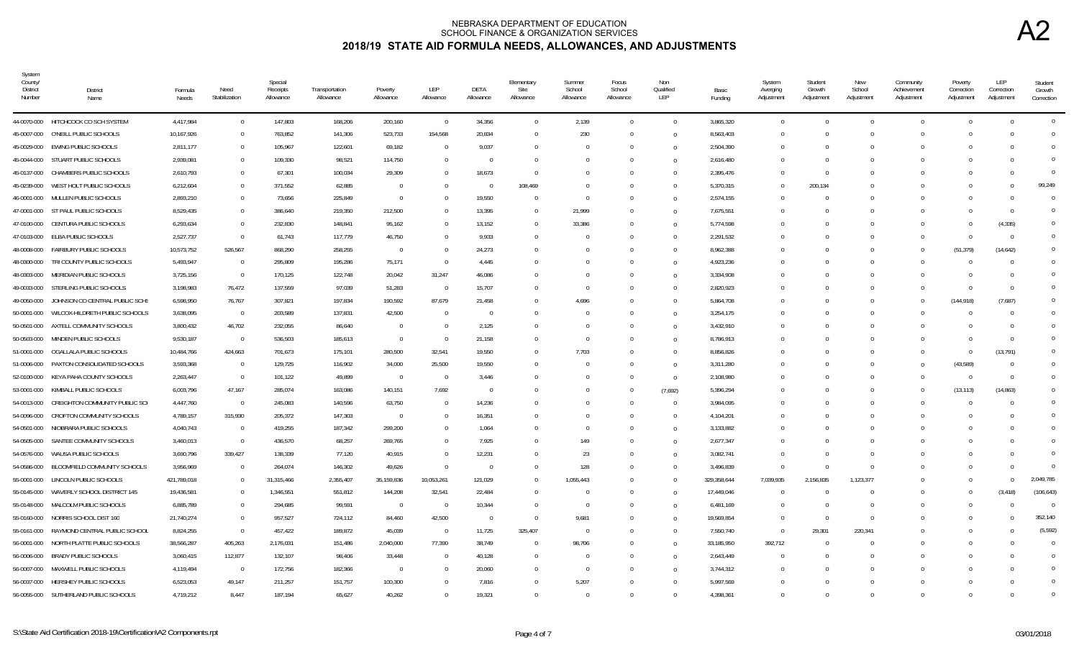| System<br>County/<br><b>District</b><br>Number | District<br>Name                        | Formula<br>Needs | Need<br>Stabilization | Special<br>Receipts<br>Allowance | Transportation<br>Allowance | Poverty<br>Allowance | LEP<br>Allowance | DETA<br>Allowance | Elementary<br>Site<br>Allowance | Summer<br>School<br>Allowance | Focus<br>School<br>Allowance | Non<br>Qualified<br>LEP | Basic<br>Funding | System<br>Averging<br>Adjustment | Student<br>Growth<br>Adjustment | New<br>School<br>Adjustment | Community<br>Achievement<br>Adjustment | Poverty<br>Correction<br>Adjustment | LEP<br>Correction<br>Adjustment | Student<br>Growth<br>Correction |
|------------------------------------------------|-----------------------------------------|------------------|-----------------------|----------------------------------|-----------------------------|----------------------|------------------|-------------------|---------------------------------|-------------------------------|------------------------------|-------------------------|------------------|----------------------------------|---------------------------------|-----------------------------|----------------------------------------|-------------------------------------|---------------------------------|---------------------------------|
|                                                | 44-0070-000 HITCHCOCK CO SCH SYSTEM     | 4,417,984        | $\overline{0}$        | 147,803                          | 168,206                     | 200,160              | $\overline{0}$   | 34,356            | $\overline{0}$                  | 2,139                         | $\Omega$                     | $\Omega$                | 3,865,320        | $\Omega$                         | $\Omega$                        | $\Omega$                    | $\Omega$                               | $\Omega$                            | $\bigcap$                       | $\overline{0}$                  |
|                                                | 45-0007-000 O'NEILL PUBLIC SCHOOLS      | 10,167,926       | $\mathbf 0$           | 763,852                          | 141,306                     | 523,733              | 154,568          | 20,834            | $\mathbf{0}$                    | 230                           |                              | $\overline{0}$          | 8,563,403        | $\Omega$                         |                                 |                             | $\Omega$                               |                                     |                                 | $\Omega$                        |
|                                                | 45-0029-000 EWING PUBLIC SCHOOLS        | 2,811,177        | $\overline{0}$        | 105,967                          | 122,601                     | 69,182               | $\Omega$         | 9,037             | $\Omega$                        | <sup>0</sup>                  | $\Omega$                     | $\overline{0}$          | 2,504,390        | $\Omega$                         | $\Omega$                        |                             | $\Omega$                               | $\Omega$                            |                                 | $\Omega$                        |
|                                                | 45-0044-000 STUART PUBLIC SCHOOLS       | 2,939,081        | $\mathbf 0$           | 109,330                          | 98,521                      | 114,750              | $\Omega$         | $\Omega$          | $\Omega$                        |                               | $\Omega$                     | $\Omega$                | 2,616,480        | C                                |                                 |                             |                                        | $\Omega$                            |                                 | $\Omega$                        |
|                                                | 45-0137-000 CHAMBERS PUBLIC SCHOOLS     | 2,610,793        | $\mathbf 0$           | 67,301                           | 100,034                     | 29,309               | $\Omega$         | 18,673            | $\Omega$                        |                               |                              | $\Omega$                | 2,395,476        | $\Omega$                         | $\Omega$                        |                             |                                        | $\Omega$                            |                                 | $\Omega$                        |
| 45-0239-000                                    | WEST HOLT PUBLIC SCHOOLS                | 6,212,604        | $\Omega$              | 371,552                          | 62,885                      | $\overline{0}$       | $\Omega$         | $\Omega$          | 108,469                         |                               |                              | $\Omega$                | 5,370,315        | $\Omega$                         | 200,134                         |                             |                                        |                                     |                                 | 99,249                          |
| 46-0001-000                                    | MULLEN PUBLIC SCHOOLS                   | 2,893,210        | $\overline{0}$        | 73,656                           | 225,849                     | $\overline{0}$       |                  | 19,550            | $\Omega$                        |                               |                              | $\overline{0}$          | 2,574,155        | $\epsilon$                       |                                 |                             |                                        |                                     |                                 | $\overline{0}$                  |
|                                                | 47-0001-000 ST PAUL PUBLIC SCHOOLS      | 8,529,435        | $\Omega$              | 386,640                          | 219,350                     | 212,500              | $\Omega$         | 13,395            | $\Omega$                        | 21,999                        | $\Omega$                     | $\overline{0}$          | 7,675,551        | $\Omega$                         | $\Omega$                        |                             |                                        | $\Omega$                            |                                 | $\overline{0}$                  |
| 47-0100-000                                    | CENTURA PUBLIC SCHOOLS                  | 6,293,634        | $\Omega$              | 232,830                          | 148,841                     | 95,162               | $\Omega$         | 13,152            | $\Omega$                        | 33,386                        | $\Omega$                     | $\overline{0}$          | 5,774,598        | $\Omega$                         | $\Omega$                        |                             | $\Omega$                               | $\Omega$                            | (4, 335)                        | $\overline{0}$                  |
|                                                | 47-0103-000 ELBA PUBLIC SCHOOLS         | 2,527,737        | $\Omega$              | 61,743                           | 117,779                     | 46,750               | $\Omega$         | 9,933             | $\Omega$                        |                               | $\Omega$                     | $\overline{0}$          | 2,291,532        | $\Omega$                         |                                 |                             | $\Omega$                               | $\Omega$                            | $\Omega$                        | $\Omega$                        |
| 48-0008-000                                    | FAIRBURY PUBLIC SCHOOLS                 | 10,573,752       | 526,567               | 868,290                          | 258,255                     | $\overline{0}$       | $\Omega$         | 24,273            | $\Omega$                        |                               |                              | $\Omega$                | 8,962,388        | $\cap$                           |                                 |                             | $\Omega$                               | (51, 379)                           | (14, 642)                       | $\Omega$                        |
| 48-0300-000                                    | TRI COUNTY PUBLIC SCHOOLS               | 5,493,947        | $\overline{0}$        | 295,809                          | 195,286                     | 75,171               | $\overline{0}$   | 4,445             | 0                               |                               |                              | $\Omega$                | 4,923,236        | $\Omega$                         |                                 |                             | $\Omega$                               | $\cap$                              |                                 | $\overline{0}$                  |
| 48-0303-000                                    | MERIDIAN PUBLIC SCHOOLS                 | 3,725,156        | $\overline{0}$        | 170,125                          | 122,748                     | 20,042               | 31,247           | 46,086            | $\Omega$                        |                               |                              | $\Omega$                | 3,334,908        |                                  |                                 |                             |                                        |                                     |                                 | $\overline{0}$                  |
|                                                | 49-0033-000 STERLING PUBLIC SCHOOLS     | 3,198,983        | 76,472                | 137,559                          | 97,039                      | 51,283               | $\overline{0}$   | 15,707            | $\Omega$                        | <sup>0</sup>                  | $\Omega$                     | $\Omega$                | 2,820,923        | $\Omega$                         |                                 |                             | $\Omega$                               | $\Omega$                            | $\Omega$                        | $\Omega$                        |
| 49-0050-000                                    | JOHNSON CO CENTRAL PUBLIC SCHS          | 6,598,950        | 76,767                | 307,821                          | 197,834                     | 190,592              | 87,679           | 21,458            | $\Omega$                        | 4,696                         |                              | $\Omega$                | 5,864,708        | $\Omega$                         |                                 |                             |                                        | (144, 918)                          | (7,687)                         | $\Omega$                        |
| 50-0001-000                                    | WILCOX-HILDRETH PUBLIC SCHOOLS          | 3,638,095        | $\overline{0}$        | 203,589                          | 137,831                     | 42,500               | $\Omega$         | $\Omega$          | $\Omega$                        |                               | $\Omega$                     | $\Omega$                | 3,254,175        | C                                |                                 |                             |                                        | $\Omega$                            | $\cap$                          | $\Omega$                        |
| 50-0501-000                                    | AXTELL COMMUNITY SCHOOLS                | 3,800,432        | 46,702                | 232,055                          | 86,640                      | $\overline{0}$       | $\overline{0}$   | 2,125             | $\Omega$                        |                               | - 0                          | $\Omega$                | 3,432,910        | $\Omega$                         |                                 |                             |                                        | $\cap$                              |                                 | $\Omega$                        |
| 50-0503-000                                    | MINDEN PUBLIC SCHOOLS                   | 9,530,187        | $\overline{0}$        | 536,503                          | 185,613                     | $\overline{0}$       | $\overline{0}$   | 21,158            | $\Omega$                        | 0                             | $\Omega$                     | $\Omega$                | 8,786,913        | $\Omega$                         |                                 |                             |                                        | $\Omega$                            | $\Omega$                        | $\overline{0}$                  |
| 51-0001-000                                    | OGALLALA PUBLIC SCHOOLS                 | 10,484,766       | 424,663               | 701,673                          | 175,101                     | 280,500              | 32,541           | 19,550            | $\Omega$                        | 7,703                         |                              | $\overline{0}$          | 8,856,826        |                                  |                                 |                             |                                        | $\Omega$                            | (13, 791)                       | $\overline{0}$                  |
|                                                | 51-0006-000 PAXTON CONSOLIDATED SCHOOLS | 3,593,368        | $\overline{0}$        | 129,725                          | 116,902                     | 34,000               | 25,500           | 19,550            | $\Omega$                        |                               | $\Omega$                     | $\Omega$                | 3,311,280        | $\Omega$                         |                                 |                             | $\Omega$                               | (43,589)                            | $\Omega$                        | $\Omega$                        |
| 52-0100-000                                    | KEYA PAHA COUNTY SCHOOLS                | 2,263,447        | $\overline{0}$        | 101,122                          | 49,899                      | $\overline{0}$       | $\Omega$         | 3,446             | $\Omega$                        |                               | $\Omega$                     | $\overline{0}$          | 2,108,980        | C                                |                                 |                             | $\Omega$                               | $\Omega$                            | $\Omega$                        | $\Omega$                        |
|                                                | 53-0001-000 KIMBALL PUBLIC SCHOOLS      | 6,003,796        | 47,167                | 285,074                          | 163,086                     | 140,151              | 7,692            | $\Omega$          | $\Omega$                        |                               | $\Omega$                     | (7,692)                 | 5,396,294        | $\Omega$                         |                                 |                             | n                                      | (13, 113)                           | (14, 863)                       | $\Omega$                        |
| 54-0013-000                                    | CREIGHTON COMMUNITY PUBLIC SCH          | 4,447,760        | $\overline{0}$        | 245,083                          | 140,596                     | 63,750               | $\overline{0}$   | 14,236            | $\Omega$                        |                               |                              | $\overline{0}$          | 3,984,095        | -0                               |                                 |                             |                                        | $\cap$                              | $\Omega$                        | $\overline{0}$                  |
| 54-0096-000                                    | <b>CROFTON COMMUNITY SCHOOLS</b>        | 4,789,157        | 315,930               | 205,372                          | 147,303                     | $\overline{0}$       | $\Omega$         | 16,351            | $\Omega$                        |                               |                              | $\overline{0}$          | 4,104,201        | $\Omega$                         |                                 |                             |                                        | $\cap$                              |                                 | $\Omega$                        |
| 54-0501-000                                    | NIOBRARA PUBLIC SCHOOLS                 | 4,040,743        | $\Omega$              | 419,255                          | 187,342                     | 299,200              |                  | 1,064             |                                 |                               |                              | $\Omega$                | 3,133,882        |                                  |                                 |                             |                                        |                                     |                                 | $\Omega$                        |
| 54-0505-000                                    | SANTEE COMMUNITY SCHOOLS                | 3,460,013        | $\overline{0}$        | 436,570                          | 68,257                      | 269,765              | $\Omega$         | 7,925             | $\Omega$                        | 149                           | $\Omega$                     | $\Omega$                | 2,677,347        | $\sqrt{ }$                       |                                 |                             |                                        | $\Omega$                            |                                 | $\Omega$                        |
| 54-0576-000                                    | WAUSA PUBLIC SCHOOLS                    | 3,690,796        | 339,427               | 138,339                          | 77,120                      | 40,915               | $\Omega$         | 12,231            | $\Omega$                        | 23                            | $\Omega$                     | $\overline{0}$          | 3,082,741        | $\Omega$                         |                                 |                             |                                        | $\Omega$                            |                                 | $\Omega$                        |
| 54-0586-000                                    | BLOOMFIELD COMMUNITY SCHOOLS            | 3,956,969        | $\overline{0}$        | 264,074                          | 146,302                     | 49,626               | $\Omega$         | $\overline{0}$    | $\Omega$                        | 128                           | $\Omega$                     | $\overline{0}$          | 3,496,839        | $\Omega$                         | $\Omega$                        | $\Omega$                    |                                        | $\Omega$                            | $\Omega$                        | $\Omega$                        |
| 55-0001-000                                    | LINCOLN PUBLIC SCHOOLS                  | 421,789,018      | $\overline{0}$        | 31,315,466                       | 2,355,407                   | 35,159,836           | 10,053,261       | 121,029           | $\Omega$                        | 1,055,443                     |                              | $\Omega$                | 329,358,644      | 7,039,935                        | 2,156,835                       | 1,123,377                   |                                        | $\Omega$                            | $\Omega$                        | 2,049,785                       |
| 55-0145-000                                    | WAVERLY SCHOOL DISTRICT 145             | 19,436,581       | $\Omega$              | 1,346,551                        | 551,812                     | 144,208              | 32,541           | 22,484            | $\Omega$                        |                               |                              | $\Omega$                | 17,449,046       | $\Omega$                         |                                 |                             |                                        | $\Omega$                            | (3.418)                         | (106, 643)                      |
| 55-0148-000                                    | MALCOLM PUBLIC SCHOOLS                  | 6,885,789        | $\Omega$              | 294,685                          | 99,591                      | $\overline{0}$       | $\overline{0}$   | 10,344            | $\Omega$                        |                               |                              | $\Omega$                | 6,481,169        | $\Omega$                         |                                 |                             |                                        |                                     |                                 | $\overline{0}$                  |
| 55-0160-000                                    | NORRIS SCHOOL DIST 160                  | 21,740,274       | $\mathbf 0$           | 957,527                          | 724,112                     | 84,460               | 42,500           | $\Omega$          | $\Omega$                        | 9,681                         |                              | $\Omega$                | 19,569,854       | - 0                              | $\Omega$                        |                             |                                        |                                     |                                 | 352,140                         |
| 55-0161-000                                    | RAYMOND CENTRAL PUBLIC SCHOOL           | 8,824,255        | $\overline{0}$        | 457,422                          | 189,872                     | 45,039               | $\overline{0}$   | 11,725            | 325,407                         | $\Omega$                      | $\Omega$                     | $\Omega$                | 7,550,740        | $\Omega$                         | 29,301                          | 220,341                     |                                        | $\Omega$                            |                                 | (5, 592)                        |
|                                                | 56-0001-000 NORTH PLATTE PUBLIC SCHOOLS | 38,566,287       | 405,263               | 2,176,031                        | 151,486                     | 2,040,000            | 77,390           | 38,749            | $\Omega$                        | 98,706                        | $\Omega$                     | $\overline{0}$          | 33,185,950       | 392,712                          |                                 |                             |                                        | $\Omega$                            |                                 | $\Omega$                        |
| 56-0006-000                                    | <b>BRADY PUBLIC SCHOOLS</b>             | 3,060,415        | 112,877               | 132,107                          | 98,406                      | 33,448               | $\Omega$         | 40,128            | $\Omega$                        | $\Omega$                      | $\Omega$                     | $\Omega$                | 2,643,449        | $\Omega$                         |                                 |                             |                                        | $\Omega$                            |                                 | $\Omega$                        |
| 56-0007-000                                    | MAXWELL PUBLIC SCHOOLS                  | 4,119,494        | $\overline{0}$        | 172,756                          | 182,366                     | $\overline{0}$       |                  | 20,060            | $\Omega$                        |                               |                              | $\Omega$                | 3,744,312        | $\Omega$                         |                                 |                             |                                        |                                     |                                 | $\Omega$                        |
| 56-0037-000                                    | HERSHEY PUBLIC SCHOOLS                  | 6,523,053        | 49,147                | 211,257                          | 151,757                     | 100,300              | $\Omega$         | 7,816             | $\Omega$                        | 5,207                         |                              | $\Omega$                | 5,997,569        | $\Omega$                         |                                 |                             |                                        |                                     |                                 | $\overline{0}$                  |
|                                                | 56-0055-000 SUTHERLAND PUBLIC SCHOOLS   | 4,719,212        | 8.447                 | 187,194                          | 65,627                      | 40,262               | $\Omega$         | 19.321            | $\Omega$                        |                               | $\Omega$                     | $\Omega$                | 4.398.361        | C                                |                                 |                             |                                        | $\Omega$                            |                                 | $\overline{0}$                  |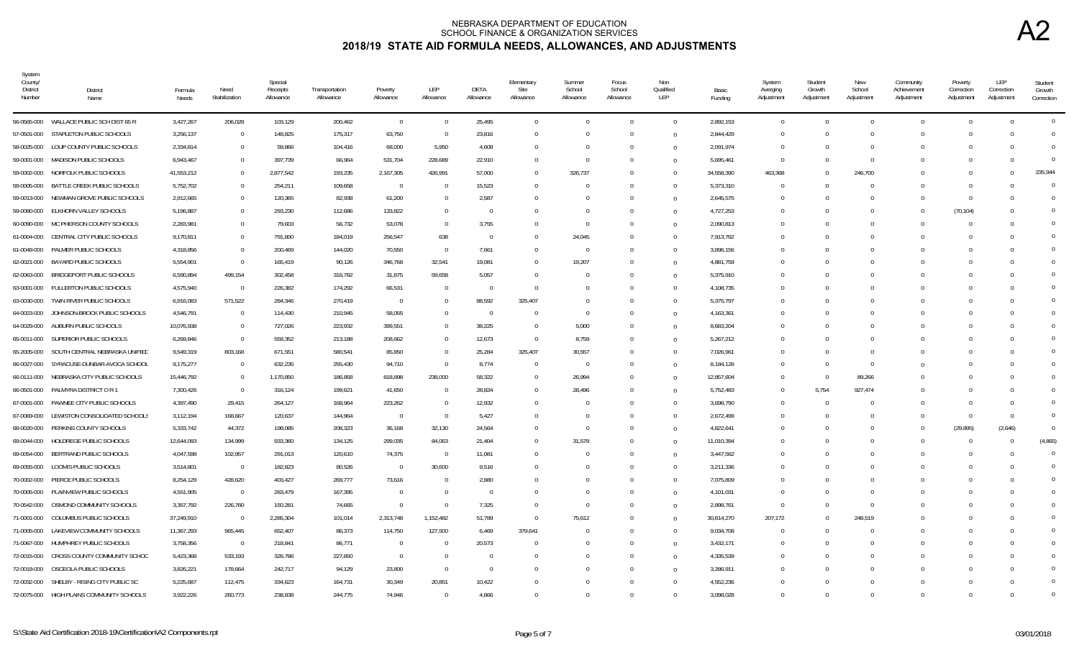| System<br>County/<br>District<br>Number | District<br>Name                          | Formula<br>Needs | Need<br>Stabilization | Special<br>Receipts<br>Allowance | Transportation<br>Allowance | Poverty<br>Allowance | LEP<br>Allowance | DETA<br>Allowance | Elementary<br>Site<br>Allowance | Summer<br>School<br>Allowance | Focus<br>School<br>Allowance | Non<br>Qualified<br>LEP | Basic<br>Funding | System<br>Averging<br>Adjustment | Student<br>Growth<br>Adjustment | New<br>School<br>Adjustment | Community<br>Achievement<br>Adjustment | Poverty<br>Correction<br>Adjustment | <b>LEP</b><br>Correction<br>Adjustment | Student<br>Growth<br>Correction |
|-----------------------------------------|-------------------------------------------|------------------|-----------------------|----------------------------------|-----------------------------|----------------------|------------------|-------------------|---------------------------------|-------------------------------|------------------------------|-------------------------|------------------|----------------------------------|---------------------------------|-----------------------------|----------------------------------------|-------------------------------------|----------------------------------------|---------------------------------|
| 56-0565-000                             | WALLACE PUBLIC SCH DIST 65 R              | 3,427,267        | 206,028               | 103,129                          | 200,462                     | $\overline{0}$       | $\overline{0}$   | 25,495            | $\overline{0}$                  | $\Omega$                      | $\Omega$                     | $\Omega$                | 2,892,153        | $\overline{0}$                   | $\Omega$                        | $\Omega$                    | $\overline{0}$                         | $\Omega$                            | $\bigcap$                              | $\overline{0}$                  |
|                                         | 57-0501-000 STAPLETON PUBLIC SCHOOLS      | 3,256,137        | $\Omega$              | 148,825                          | 175,317                     | 63,750               | $\Omega$         | 23,816            | $\Omega$                        | $\Omega$                      |                              | $\overline{0}$          | 2,844,429        | $\Omega$                         | $\Omega$                        | $\Omega$                    | $\Omega$                               |                                     |                                        | $\Omega$                        |
|                                         | 58-0025-000 LOUP COUNTY PUBLIC SCHOOLS    | 2,334,814        | $\Omega$              | 59,866                           | 104,416                     | 68,000               | 5,950            | 4,608             |                                 |                               |                              | $\overline{0}$          | 2,091,974        | $\Omega$                         |                                 | $\Omega$                    | $\Omega$                               |                                     |                                        | $\Omega$                        |
| 59-0001-000                             | MADISON PUBLIC SCHOOLS                    | 6,943,467        | $\mathbf 0$           | 397,739                          | 66,964                      | 531,704              | 228,689          | 22,910            | $\Omega$                        | $\theta$                      |                              | $\overline{0}$          | 5,695,461        | $\Omega$                         | $\Omega$                        | $\Omega$                    | $\Omega$                               | $\bigcap$                           |                                        | $\Omega$                        |
| 59-0002-000                             | NORFOLK PUBLIC SCHOOLS                    | 41,553,212       | $\Omega$              | 2,877,542                        | 193,235                     | 2,167,305            | 426,991          | 57,000            | $\Omega$                        | 326,737                       |                              | $\overline{0}$          | 34,558,390       | 463,368                          | $\Omega$                        | 246,700                     | $\Omega$                               |                                     |                                        | 235,944                         |
| 59-0005-000                             | BATTLE CREEK PUBLIC SCHOOLS               | 5,752,702        | $\Omega$              | 254,211                          | 109,658                     | $\overline{0}$       |                  | 15,523            |                                 | $\Omega$                      |                              | $\Omega$                | 5,373,310        | $\Omega$                         |                                 |                             | $\Omega$                               |                                     |                                        | $\Omega$                        |
| 59-0013-000                             | NEWMAN GROVE PUBLIC SCHOOLS               | 2,912,665        | $\Omega$              | 120,365                          | 82,938                      | 61,200               | $\Omega$         | 2,587             | $\Omega$                        | $\Omega$                      | $\Omega$                     | $\overline{0}$          | 2,645,575        | - 0                              | $\Omega$                        | $\Omega$                    | $\Omega$                               | $\Omega$                            |                                        | $\Omega$                        |
| 59-0080-000                             | ELKHORN VALLEY SCHOOLS                    | 5,196,887        | $\Omega$              | 293,230                          | 112,686                     | 133,822              | $\Omega$         | $\Omega$          |                                 |                               |                              | $\overline{0}$          | 4,727,253        | - 0                              |                                 | $\Omega$                    | $\Omega$                               | (70, 104)                           |                                        | $\sqrt{ }$                      |
| 60-0090-000                             | MC PHERSON COUNTY SCHOOLS                 | 2,283,981        | $\mathbf 0$           | 79,603                           | 56,732                      | 53,078               | $\Omega$         | 3,755             | $\Omega$                        | $\theta$                      |                              | $\Omega$                | 2,090,813        | $\Omega$                         | $\Omega$                        | $\cap$                      | $\Omega$                               | $\bigcap$                           |                                        | $\cup$                          |
| 61-0004-000                             | CENTRAL CITY PUBLIC SCHOOLS               | 9,170,811        | $\Omega$              | 791,800                          | 184,019                     | 256,547              | 638              | $\Omega$          | $\Omega$                        | 24,045                        |                              | $\Omega$                | 7,913,762        | $\Omega$                         | $\Omega$                        |                             | $\Omega$                               |                                     |                                        | $\cup$                          |
| 61-0049-000                             | PALMER PUBLIC SCHOOLS                     | 4,318,856        | $\Omega$              | 200.469                          | 144,020                     | 70,550               | $\Omega$         | 7.661             | $\Omega$                        | $\Omega$                      |                              | $\Omega$                | 3,896,156        | $\Omega$                         | $\Omega$                        |                             | $\Omega$                               |                                     |                                        | $\Omega$                        |
| 62-0021-000                             | BAYARD PUBLIC SCHOOLS                     | 5,554,901        | $\Omega$              | 165,419                          | 90,126                      | 346,768              | 32,541           | 19,081            | $\Omega$                        | 19,207                        |                              | $\overline{0}$          | 4,881,759        | - ( )                            | $\Omega$                        |                             | $\Omega$                               | $\bigcap$                           |                                        | $\Omega$                        |
| 62-0063-000                             | BRIDGEPORT PUBLIC SCHOOLS                 | 6,590,894        | 499,154               | 302,458                          | 316,782                     | 31,875               | 59,658           | 5,057             | $\Omega$                        | $\Omega$                      |                              | $\Omega$                | 5,375,910        | $\Omega$                         | $\Omega$                        | $\cap$                      | $\cap$                                 | $\cap$                              |                                        |                                 |
| 63-0001-000                             | FULLERTON PUBLIC SCHOOLS                  | 4,575,940        | $\overline{0}$        | 226,382                          | 174,292                     | 66,531               | $\Omega$         | $\Omega$          | $\Omega$                        |                               |                              | $\Omega$                | 4,108,735        |                                  |                                 |                             | $\Omega$                               |                                     |                                        |                                 |
| 63-0030-000                             | TWIN RIVER PUBLIC SCHOOLS                 | 6,916,083        | 571,522               | 284,346                          | 270,419                     | $\overline{0}$       | $\Omega$         | 88.592            | 325.407                         | $\Omega$                      |                              | $\Omega$                | 5,375,797        | $\Omega$                         | $\Omega$                        |                             | $\Omega$                               |                                     |                                        | $\cup$                          |
| 64-0023-000                             | JOHNSON-BROCK PUBLIC SCHOOLS              | 4,546,791        | $\Omega$              | 114,430                          | 210,945                     | 58,055               | $\Omega$         | $\Omega$          | $\Omega$                        | $\theta$                      |                              | $\Omega$                | 4, 163, 361      | $\Omega$                         |                                 |                             | $\Omega$                               |                                     |                                        | $\Omega$                        |
| 64-0029-000                             | AUBURN PUBLIC SCHOOLS                     | 10,076,938       | $\mathbf 0$           | 727,026                          | 223,932                     | 399,551              | $\Omega$         | 38,225            | $\Omega$                        | 5,000                         | $\Omega$                     | $\overline{0}$          | 8,683,204        | $\Omega$                         | $\Omega$                        | $\Omega$                    | $\Omega$                               | $\Omega$                            |                                        | $\Omega$                        |
|                                         | 65-0011-000 SUPERIOR PUBLIC SCHOOLS       | 6,269,846        | $\Omega$              | 559,352                          | 213,188                     | 208,662              | $\Omega$         | 12,673            | $\Omega$                        | 8,759                         |                              | $\overline{0}$          | 5,267,212        | $\Omega$                         |                                 |                             | $\Omega$                               |                                     |                                        | $\cup$                          |
| 65-2005-000                             | SOUTH CENTRAL NEBRASKA UNIFIED            | 9,549,319        | 803,168               | 671,551                          | 580,541                     | 85,850               | $\Omega$         | 25,284            | 325,407                         | 30,557                        |                              | $\Omega$                | 7,026,961        | $\Omega$                         |                                 |                             | $\Omega$                               |                                     |                                        |                                 |
|                                         | 66-0027-000 SYRACUSE-DUNBAR-AVOCA SCHOOL  | 9,175,277        | $\overline{0}$        | 632,235                          | 255,430                     | 94,710               | $\Omega$         | 8.774             | $\Omega$                        | $\Omega$                      |                              | $\overline{0}$          | 8,184,128        | $\Omega$                         | $\Omega$                        | $\Omega$                    | $\Omega$                               |                                     |                                        |                                 |
| 66-0111-000                             | NEBRASKA CITY PUBLIC SCHOOLS              | 15,446,792       | $\mathbf 0$           | 1,170,850                        | 186,858                     | 818,898              | 238,000          | 58,322            | $\Omega$                        | 26,994                        |                              | $\overline{0}$          | 12,857,604       | $\Omega$                         | $\Omega$                        | 89,266                      | $\Omega$                               |                                     |                                        | $\cup$                          |
| 66-0501-000                             | PALMYRA DISTRICT O R 1                    | 7,300,426        | $\overline{0}$        | 316,124                          | 199,621                     | 41,650               | $\Omega$         | 28,824            | $\Omega$                        | 28,496                        |                              | $\Omega$                | 5,752,483        | $\Omega$                         | 5,754                           | 927,474                     | $\Omega$                               | $\cap$                              |                                        | $\Omega$                        |
|                                         | 67-0001-000 PAWNEE CITY PUBLIC SCHOOLS    | 4,397,490        | 29,415                | 264,127                          | 168,964                     | 223,262              | $\Omega$         | 12,932            |                                 |                               |                              | $\Omega$                | 3,698,790        | $\Omega$                         |                                 | $\Omega$                    | $\Omega$                               |                                     |                                        | $\Omega$                        |
| 67-0069-000                             | LEWISTON CONSOLIDATED SCHOOLS             | 3,112,194        | 168,667               | 120,637                          | 144,964                     | $\overline{0}$       | $\Omega$         | 5,427             |                                 |                               |                              | $\Omega$                | 2,672,499        |                                  |                                 |                             | $\Omega$                               | $\Omega$                            | $\bigcap$                              | $\Omega$                        |
| 68-0020-000                             | PERKINS COUNTY SCHOOLS                    | 5,333,742        | 44,372                | 198,085                          | 208,323                     | 36,168               | 32,130           | 24,564            | $\Omega$                        | $\Omega$                      |                              | $\overline{0}$          | 4,822,641        | C                                | $\Omega$                        | 0                           | $\Omega$                               | (29, 895)                           | (2,646)                                | $\Omega$                        |
| 69-0044-000                             | HOLDREGE PUBLIC SCHOOLS                   | 12,644,093       | 134,999               | 933,360                          | 134,125                     | 299,035              | 84,063           | 21,404            | $\Omega$                        | 31,578                        |                              | $\overline{0}$          | 11,010,394       | $\Omega$                         | $\Omega$                        | $\Omega$                    | $\Omega$                               | $\bigcap$                           | $\Omega$                               | (4,865)                         |
| 69-0054-000                             | BERTRAND PUBLIC SCHOOLS                   | 4,047,598        | 102,957               | 291,013                          | 120,610                     | 74,375               | $\overline{0}$   | 11,081            |                                 |                               |                              | $\Omega$                | 3,447,562        | $\Omega$                         | $\Omega$                        |                             | $\Omega$                               | $\cap$                              |                                        | $\overline{0}$                  |
| 69-0055-000                             | LOOMIS PUBLIC SCHOOLS                     | 3,514,801        | $\overline{0}$        | 182,823                          | 80,526                      | $\overline{0}$       | 30,600           | 9,516             |                                 |                               |                              | $\Omega$                | 3,211,336        | $\Omega$                         |                                 |                             | $\Omega$                               |                                     |                                        | $\Omega$                        |
|                                         | 70-0002-000 PIERCE PUBLIC SCHOOLS         | 8,254,129        | 428,620               | 403,427                          | 269,777                     | 73,616               | $\Omega$         | 2,880             |                                 |                               |                              | $\overline{0}$          | 7,075,809        | $\Omega$                         | $\Omega$                        |                             | $\Omega$                               |                                     |                                        | $\cup$                          |
| 70-0005-000                             | PLAINVIEW PUBLIC SCHOOLS                  | 4,551,905        | $\overline{0}$        | 283,479                          | 167,395                     | $\overline{0}$       | $\Omega$         | $\Omega$          | $\Omega$                        | $\Omega$                      |                              | $\overline{0}$          | 4,101,031        | $\Omega$                         | $\Omega$                        | $\Omega$                    | $\Omega$                               | $\cap$                              |                                        |                                 |
| 70-0542-000                             | OSMOND COMMUNITY SCHOOLS                  | 3,357,792        | 226,760               | 150,281                          | 74,665                      | $\overline{0}$       | $\Omega$         | 7,325             | $\Omega$                        | $\theta$                      |                              | $\Omega$                | 2,898,761        | $\Omega$                         | $\Omega$                        | $\Omega$                    | $\Omega$                               |                                     |                                        | $\cup$                          |
| 71-0001-000                             | COLUMBUS PUBLIC SCHOOLS                   | 37,249,910       | $\overline{0}$        | 2,285,304                        | 101,014                     | 2,313,748            | 1,152,482        | 51,789            | $\Omega$                        | 75,612                        |                              | $\Omega$                | 30,814,270       | 207,172                          | 0                               | 248,519                     | $\Omega$                               | $\cap$                              |                                        | $\Omega$                        |
| 71-0005-000                             | LAKEVIEW COMMUNITY SCHOOLS                | 11,367,293       | 965,445               | 652,407                          | 86,373                      | 114,750              | 127,500          | 6,469             | 379,641                         |                               |                              | $\Omega$                | 9,034,708        | $\Omega$                         |                                 | $\Omega$                    | $\Omega$                               |                                     |                                        | $\Omega$                        |
| 71-0067-000                             | HUMPHREY PUBLIC SCHOOLS                   | 3,758,356        | $\overline{0}$        | 218,841                          | 86,771                      | $\overline{0}$       | $\Omega$         | 20,573            | $\Omega$                        |                               |                              | $\Omega$                | 3,432,171        | $\Omega$                         |                                 |                             | $\Omega$                               |                                     |                                        | $\Omega$                        |
| 72-0015-000                             | CROSS COUNTY COMMUNITY SCHOO              | 5,423,368        | 533,193               | 326,786                          | 227,850                     | $\overline{0}$       | $\Omega$         | $\Omega$          |                                 |                               |                              | $\Omega$                | 4,335,539        | - 0                              | $\Omega$                        | $\Omega$                    | $\Omega$                               | $\Omega$                            |                                        | $\Omega$                        |
| 72-0019-000                             | OSCEOLA PUBLIC SCHOOLS                    | 3,826,221        | 178,664               | 242,717                          | 94,129                      | 23,800               | $\Omega$         | $\Omega$          |                                 |                               |                              | $\Omega$                | 3,286,911        | $\Omega$                         |                                 |                             | $\Omega$                               |                                     |                                        | $\cup$                          |
| 72-0032-000                             | SHELBY - RISING CITY PUBLIC SC            | 5,225,687        | 112,475               | 334,623                          | 164,731                     | 30,349               | 20,851           | 10,422            |                                 |                               |                              | $\Omega$                | 4,552,236        |                                  | $\Omega$                        |                             | $\Omega$                               |                                     |                                        | $\overline{0}$                  |
|                                         | 72-0075-000 HIGH PLAINS COMMUNITY SCHOOLS | 3,922,226        | 260,773               | 238.838                          | 244.775                     | 74.946               | $\Omega$         | 4,866             |                                 |                               |                              | $\Omega$                | 3.098.028        |                                  | $\Omega$                        | $\Omega$                    | $\Omega$                               |                                     |                                        | $\Omega$                        |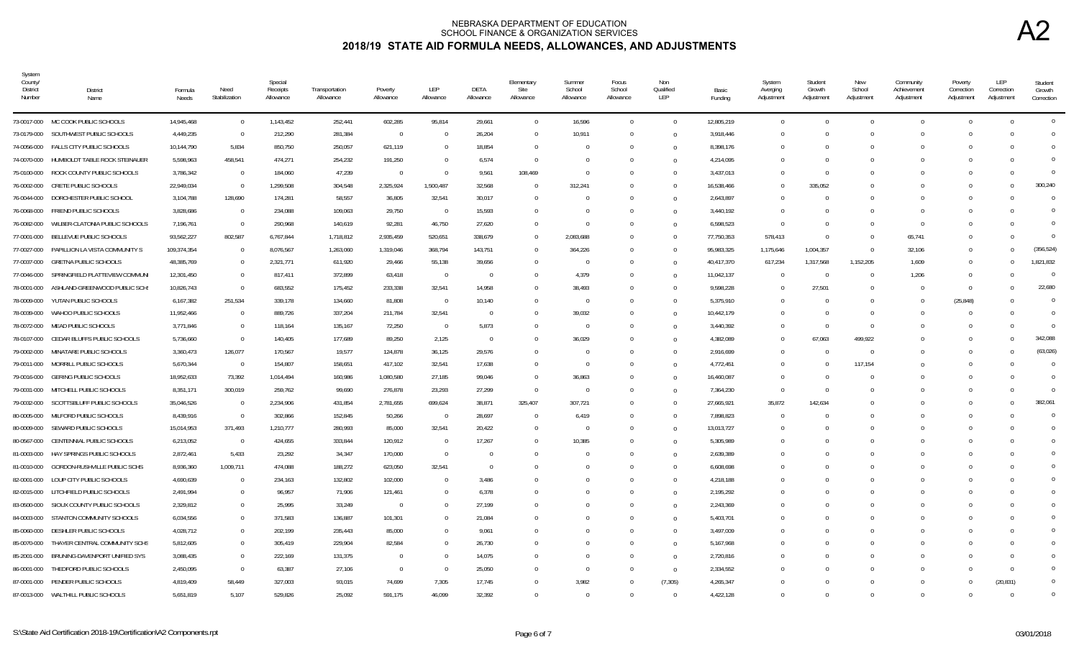| System<br>County/<br>District<br>Number | <b>District</b><br>Name                    | Formula<br>Needs | Need<br>Stabilization | Special<br>Receipts<br>Allowance | Transportation<br>Allowance | Poverty<br>Allowance | LEP<br>Allowance | DETA<br>Allowance | Elementary<br>Site<br>Allowance | Summer<br>School<br>Allowance | Focus<br>School<br>Allowance | Non<br>Qualified<br>LEP | Basic<br>Funding | System<br>Averging<br>Adjustment | Student<br>Growth<br>Adjustment | New<br>School<br>Adjustment | Community<br>Achievement<br>Adjustment | Poverty<br>Correction<br>Adjustment | <b>LEP</b><br>Correction<br>Adjustment | Student<br>Growth<br>Correction |
|-----------------------------------------|--------------------------------------------|------------------|-----------------------|----------------------------------|-----------------------------|----------------------|------------------|-------------------|---------------------------------|-------------------------------|------------------------------|-------------------------|------------------|----------------------------------|---------------------------------|-----------------------------|----------------------------------------|-------------------------------------|----------------------------------------|---------------------------------|
| 73-0017-000                             | MC COOK PUBLIC SCHOOLS                     | 14,945,468       | $\overline{0}$        | 1,143,452                        | 252,441                     | 602,285              | 95,814           | 29,661            | $\overline{0}$                  | 16,596                        | $\Omega$                     | $\overline{0}$          | 12,805,219       | $\theta$                         | $\Omega$                        | $\Omega$                    | $\overline{0}$                         | $\Omega$                            | $\bigcap$                              | $\overline{0}$                  |
|                                         | 73-0179-000 SOUTHWEST PUBLIC SCHOOLS       | 4,449,235        | $\overline{0}$        | 212.290                          | 281,384                     | $\overline{0}$       | $\Omega$         | 26.204            | $\Omega$                        | 10,911                        | $\Omega$                     | $\overline{0}$          | 3,918,446        | $\Omega$                         | $\Omega$                        | $\Omega$                    | $\Omega$                               |                                     |                                        | $\Omega$                        |
|                                         | 74-0056-000 FALLS CITY PUBLIC SCHOOLS      | 10,144,790       | 5,834                 | 850,750                          | 250,057                     | 621,119              | $\Omega$         | 18,854            | $\Omega$                        |                               |                              | $\overline{0}$          | 8,398,176        | $\Omega$                         |                                 |                             | $\Omega$                               |                                     |                                        | $\Omega$                        |
| 74-0070-000                             | HUMBOLDT TABLE ROCK STEINAUER              | 5,598,963        | 458,541               | 474,271                          | 254,232                     | 191,250              | $\Omega$         | 6,574             | $\Omega$                        | <sup>0</sup>                  | $\Omega$                     | $\Omega$                | 4,214,095        | $\Omega$                         | $\Omega$                        |                             | $\Omega$                               |                                     |                                        | $\Omega$                        |
| 75-0100-000                             | ROCK COUNTY PUBLIC SCHOOLS                 | 3,786,342        | $\overline{0}$        | 184,060                          | 47,239                      | $\overline{0}$       | $\Omega$         | 9,561             | 108,469                         |                               |                              | $\Omega$                | 3,437,013        | $\Omega$                         | $\Omega$                        |                             | $\Omega$                               |                                     |                                        | $\Omega$                        |
| 76-0002-000                             | CRETE PUBLIC SCHOOLS                       | 22,949,034       | $\overline{0}$        | 1.299.508                        | 304,548                     | 2,325,924            | 1,500,487        | 32,568            | $\Omega$                        | 312,241                       |                              | $\Omega$                | 16,538,466       | $\Omega$                         | 335,052                         |                             | $\Omega$                               |                                     |                                        | 300,240                         |
| 76-0044-000                             | DORCHESTER PUBLIC SCHOOL                   | 3,104,788        | 128,690               | 174,281                          | 58,557                      | 36,805               | 32,541           | 30.017            | $\Omega$                        |                               | $\Omega$                     | $\overline{0}$          | 2,643,897        | $\Omega$                         | $\Omega$                        | $\cap$                      | $\Omega$                               | $\Omega$                            |                                        | $\Omega$                        |
|                                         | 76-0068-000 FRIEND PUBLIC SCHOOLS          | 3,828,686        | $\overline{0}$        | 234,088                          | 109,063                     | 29,750               | $\overline{0}$   | 15,593            | $\Omega$                        |                               |                              | $\overline{0}$          | 3,440,192        | $\Omega$                         |                                 | $\Omega$                    | $\Omega$                               |                                     |                                        | $\sqrt{ }$                      |
| 76-0082-000                             | WILBER-CLATONIA PUBLIC SCHOOLS             | 7,196,761        | $\overline{0}$        | 290,968                          | 140,619                     | 92,281               | 46,750           | 27,620            | $\Omega$                        | 0                             |                              | $\Omega$                | 6,598,523        | $\Omega$                         | $\Omega$                        | $\Omega$                    | $\overline{0}$                         |                                     |                                        | $\Omega$                        |
|                                         | 77-0001-000 BELLEVUE PUBLIC SCHOOLS        | 93,562,227       | 802,587               | 6,767,844                        | 1,718,812                   | 2,935,459            | 520,651          | 338,679           | $\Omega$                        | 2,083,688                     |                              | $\Omega$                | 77,750,353       | 578,413                          | $\Omega$                        | $\Omega$                    | 65,741                                 |                                     |                                        | $\bigcap$                       |
|                                         | 77-0027-000 PAPILLION LA VISTA COMMUNITY S | 109,374,354      | $\overline{0}$        | 8,076,567                        | 1,263,060                   | 1,319,046            | 368,794          | 143,751           | $\Omega$                        | 364,226                       |                              | $\overline{0}$          | 95,983,325       | 1,175,646                        | 1,004,357                       | $\Omega$                    | 32,106                                 | $\Omega$                            |                                        | (356, 524)                      |
|                                         | 77-0037-000 GRETNA PUBLIC SCHOOLS          | 48,385,769       | $\overline{0}$        | 2,321,771                        | 611,920                     | 29,466               | 55,138           | 39,656            | $\Omega$                        | $\Omega$                      | $\Omega$                     | $\overline{0}$          | 40,417,370       | 617,234                          | 1,317,568                       | 1,152,205                   | 1,609                                  | $\Omega$                            |                                        | 1,821,832                       |
|                                         | 77-0046-000 SPRINGFIELD PLATTEVIEW COMMUNI | 12,301,450       | $\overline{0}$        | 817,411                          | 372,899                     | 63,418               | $\overline{0}$   | $\overline{0}$    | $\Omega$                        | 4,379                         | $\Omega$                     | $\overline{0}$          | 11,042,137       | $\overline{0}$                   | $\Omega$                        | $\overline{0}$              | 1,206                                  | $\Omega$                            |                                        | $\overline{0}$                  |
| 78-0001-000                             | ASHLAND-GREENWOOD PUBLIC SCH               | 10,826,743       | $\overline{0}$        | 683,552                          | 175,452                     | 233,338              | 32,541           | 14,958            | $\Omega$                        | 38,493                        |                              | $\Omega$                | 9,598,228        | $\Omega$                         | 27,501                          |                             | $\overline{0}$                         | $\Omega$                            |                                        | 22,680                          |
| 78-0009-000                             | YUTAN PUBLIC SCHOOLS                       | 6,167,382        | 251,534               | 339,178                          | 134,660                     | 81,808               | $\overline{0}$   | 10,140            | $\Omega$                        | $\Omega$                      | $\Omega$                     | $\Omega$                | 5,375,910        | $\Omega$                         | $\Omega$                        | $\Omega$                    | $\Omega$                               | (25, 848)                           |                                        | $\Omega$                        |
| 78-0039-000                             | WAHOO PUBLIC SCHOOLS                       | 11,952,466       | $\overline{0}$        | 889,726                          | 337,204                     | 211,784              | 32,541           | $\Omega$          | $\Omega$                        | 39,032                        |                              | $\overline{0}$          | 10,442,179       | $\Omega$                         | $\Omega$                        | $\Omega$                    | $\Omega$                               | $\Omega$                            |                                        | $\Omega$                        |
| 78-0072-000                             | MEAD PUBLIC SCHOOLS                        | 3,771,846        | $\overline{0}$        | 118,164                          | 135,167                     | 72,250               | $\overline{0}$   | 5,873             | $\Omega$                        | $^{\circ}$                    | $\Omega$                     | $\overline{0}$          | 3,440,392        | -0                               | 0                               | $\Omega$                    | $\Omega$                               | $\Omega$                            | $\Omega$                               | $\Omega$                        |
| 78-0107-000                             | CEDAR BLUFFS PUBLIC SCHOOLS                | 5,736,660        | $\overline{0}$        | 140,405                          | 177,689                     | 89,250               | 2,125            | $\Omega$          | $\Omega$                        | 36,029                        |                              | $\Omega$                | 4,382,089        | $\Omega$                         | 67,063                          | 499,922                     | $\Omega$                               |                                     |                                        | 342,088                         |
| 79-0002-000                             | MINATARE PUBLIC SCHOOLS                    | 3,360,473        | 126,077               | 170,567                          | 19,577                      | 124,878              | 36,125           | 29,576            | $\Omega$                        | 0                             |                              | $\Omega$                | 2,916,699        | $\Omega$                         | $\Omega$                        | $\Omega$                    | $\Omega$                               |                                     |                                        | (63, 026)                       |
| 79-0011-000                             | MORRILL PUBLIC SCHOOLS                     | 5,670,344        | $\overline{0}$        | 154,807                          | 158,651                     | 417,102              | 32,541           | 17,638            | $\Omega$                        | $\Omega$                      |                              | $\overline{0}$          | 4,772,451        | $\Omega$                         |                                 | 117,154                     | $\Omega$                               |                                     |                                        | $\Omega$                        |
|                                         | 79-0016-000 GERING PUBLIC SCHOOLS          | 18,952,633       | 73,392                | 1,014,494                        | 160,986                     | 1,080,580            | 27,185           | 99,046            | $\overline{0}$                  | 36,863                        |                              | $\overline{0}$          | 16,460,087       | $\Omega$                         | $\Omega$                        | $\Omega$                    | $\Omega$                               | $\Omega$                            |                                        | $\Omega$                        |
| 79-0031-000                             | MITCHELL PUBLIC SCHOOLS                    | 8,351,171        | 300,019               | 259,762                          | 99,690                      | 276,878              | 23,293           | 27,299            | $\overline{0}$                  | $^{\circ}$                    |                              | $\Omega$                | 7,364,230        | $\overline{0}$                   | $\Omega$                        |                             | $\Omega$                               |                                     |                                        | $\overline{0}$                  |
|                                         | 79-0032-000 SCOTTSBLUFF PUBLIC SCHOOLS     | 35,046,526       | $\overline{0}$        | 2,234,906                        | 431,854                     | 2,781,655            | 699,624          | 38,871            | 325,407                         | 307,721                       |                              | $\overline{0}$          | 27,665,921       | 35,872                           | 142,634                         |                             | $\Omega$                               |                                     |                                        | 382,061                         |
|                                         | 80-0005-000 MILFORD PUBLIC SCHOOLS         | 8,439,916        | $\overline{0}$        | 302,866                          | 152,845                     | 50,266               | $\overline{0}$   | 28,697            | $\overline{0}$                  | 6,419                         |                              | $\overline{0}$          | 7,898,823        | - 0                              |                                 |                             |                                        |                                     |                                        | $\Omega$                        |
|                                         | 80-0009-000 SEWARD PUBLIC SCHOOLS          | 15,014,953       | 371,493               | 1,210,777                        | 280,993                     | 85,000               | 32,541           | 20,422            | $\Omega$                        | $\Omega$                      | $\cap$                       | $\overline{0}$          | 13,013,727       | $\Omega$                         | $\Omega$                        | $\Omega$                    | $\Omega$                               | $\cap$                              |                                        | $\Omega$                        |
| 80-0567-000                             | CENTENNIAL PUBLIC SCHOOLS                  | 6,213,052        | $\overline{0}$        | 424,655                          | 333,844                     | 120,912              | $\overline{0}$   | 17,267            | $\Omega$                        | 10,385                        |                              | $\overline{0}$          | 5,305,989        | - 0                              |                                 |                             | $\Omega$                               |                                     |                                        | $\sqrt{ }$                      |
| 81-0003-000                             | HAY SPRINGS PUBLIC SCHOOLS                 | 2,872,461        | 5,433                 | 23,292                           | 34,347                      | 170,000              | $\overline{0}$   | $\cap$            | $\Omega$                        |                               |                              | $\Omega$                | 2,639,389        | - 0                              | $\Omega$                        |                             | $\Omega$                               |                                     |                                        | $\Omega$                        |
|                                         | 81-0010-000 GORDON-RUSHVILLE PUBLIC SCHS   | 8,936,360        | 1,009,711             | 474,088                          | 188,272                     | 623,050              | 32,541           | $\Omega$          | $\Omega$                        |                               |                              | $\Omega$                | 6,608,698        | - 0                              |                                 |                             | $\Omega$                               |                                     |                                        | $\Omega$                        |
|                                         | 82-0001-000 LOUP CITY PUBLIC SCHOOLS       | 4,690,639        | $\overline{0}$        | 234,163                          | 132,802                     | 102,000              | $\Omega$         | 3,486             | $\Omega$                        |                               |                              | $\overline{0}$          | 4,218,188        | $\Omega$                         | $\Omega$                        |                             | $\Omega$                               |                                     |                                        | $\cup$                          |
| 82-0015-000                             | LITCHFIELD PUBLIC SCHOOLS                  | 2,491,994        | $\overline{0}$        | 96,957                           | 71,906                      | 121,461              | $\Omega$         | 6,378             | $\Omega$                        |                               |                              | $\Omega$                | 2,195,292        | $\Omega$                         | $\Omega$                        |                             | $\Omega$                               | $\cap$                              |                                        |                                 |
|                                         | 83-0500-000 SIOUX COUNTY PUBLIC SCHOOLS    | 2,329,812        | $\overline{0}$        | 25,995                           | 33,249                      | $\overline{0}$       | $\Omega$         | 27,199            | $\Omega$                        |                               |                              | $\Omega$                | 2,243,369        | $\Omega$                         | $\Omega$                        |                             | $\Omega$                               |                                     |                                        |                                 |
| 84-0003-000                             | STANTON COMMUNITY SCHOOLS                  | 6,034,556        | $\Omega$              | 371,583                          | 136,887                     | 101,301              |                  | 21,084            | $\Omega$                        |                               |                              | $\Omega$                | 5,403,701        |                                  |                                 |                             | $\Omega$                               |                                     |                                        | $\Omega$                        |
|                                         | 85-0060-000 DESHLER PUBLIC SCHOOLS         | 4,028,712        | $\Omega$              | 202,199                          | 235,443                     | 85,000               | $\Omega$         | 9,061             | $\Omega$                        |                               |                              | $\Omega$                | 3,497,009        | $\Omega$                         |                                 |                             | $\Omega$                               |                                     |                                        | $\Omega$                        |
|                                         | 85-0070-000 THAYER CENTRAL COMMUNITY SCHS  | 5,812,605        | $\Omega$              | 305,419                          | 229,904                     | 82,584               | $\Omega$         | 26,730            | $\Omega$                        |                               |                              | $\overline{0}$          | 5,167,968        | - 0                              | $\Omega$                        |                             | $\Omega$                               | $\cap$                              |                                        | $\Omega$                        |
| 85-2001-000                             | BRUNING-DAVENPORT UNIFIED SYS              | 3,088,435        | $\overline{0}$        | 222,169                          | 131,375                     | $\overline{0}$       | $\Omega$         | 14,075            | $\Omega$                        |                               | $\Omega$                     | $\Omega$                | 2,720,816        | $\Omega$                         | $\Omega$                        |                             | $\Omega$                               |                                     |                                        | $\Omega$                        |
|                                         | 86-0001-000 THEDFORD PUBLIC SCHOOLS        | 2,450,095        | $\overline{0}$        | 63,387                           | 27,106                      | $\overline{0}$       | $\Omega$         | 25,050            | $\Omega$                        |                               |                              | $\overline{0}$          | 2,334,552        | $\Omega$                         |                                 |                             | $\Omega$                               |                                     | $\Omega$                               | $\Omega$                        |
|                                         | 87-0001-000 PENDER PUBLIC SCHOOLS          | 4,819,409        | 58,449                | 327,003                          | 93,015                      | 74,699               | 7,305            | 17,745            | $\Omega$                        | 3,982                         |                              | (7, 305)                | 4,265,347        | $\Omega$                         |                                 |                             | $\Omega$                               |                                     | (20, 831)                              | $\Omega$                        |
|                                         | 87-0013-000 WALTHILL PUBLIC SCHOOLS        | 5,651,819        | 5.107                 | 529,826                          | 25,092                      | 591.175              | 46,099           | 32,392            | $\Omega$                        | $\Omega$                      | $\Omega$                     | $\Omega$                | 4,422,128        | $\Omega$                         | $\Omega$                        | $\Omega$                    | $\Omega$                               | $\Omega$                            | $\Omega$                               | $\mathbf{0}$                    |